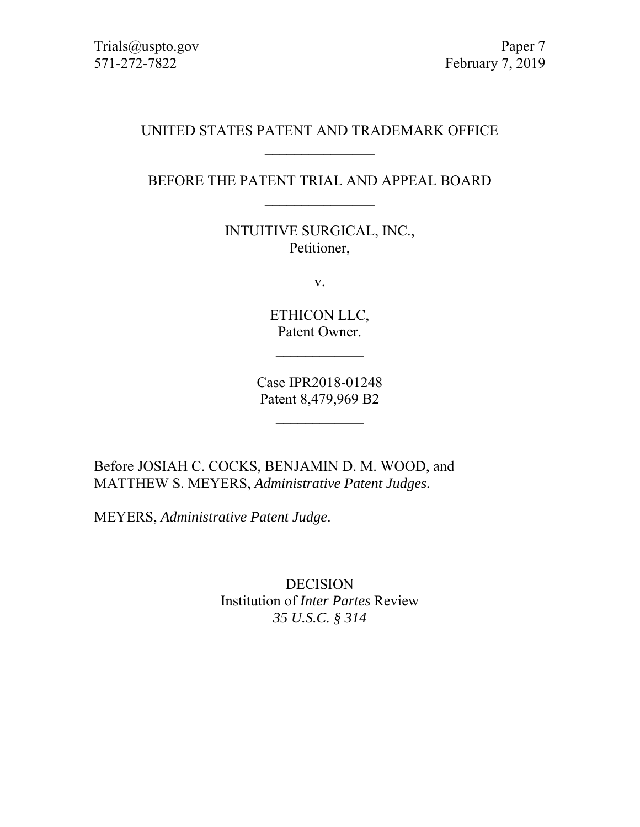Trials@uspto.gov Paper 7 571-272-7822 February 7, 2019

## UNITED STATES PATENT AND TRADEMARK OFFICE  $\mathcal{L}$  , we have the set of the set of the set of the set of the set of the set of the set of the set of the set of the set of the set of the set of the set of the set of the set of the set of the set of the set of the

# BEFORE THE PATENT TRIAL AND APPEAL BOARD  $\mathcal{L}$  , we have the set of the set of the set of the set of the set of the set of the set of the set of the set of the set of the set of the set of the set of the set of the set of the set of the set of the set of the

INTUITIVE SURGICAL, INC., Petitioner,

v.

ETHICON LLC, Patent Owner.

Case IPR2018-01248 Patent 8,479,969 B2

 $\frac{1}{2}$ 

Before JOSIAH C. COCKS, BENJAMIN D. M. WOOD, and MATTHEW S. MEYERS, *Administrative Patent Judges.* 

MEYERS, *Administrative Patent Judge*.

DECISION Institution of *Inter Partes* Review *35 U.S.C. § 314*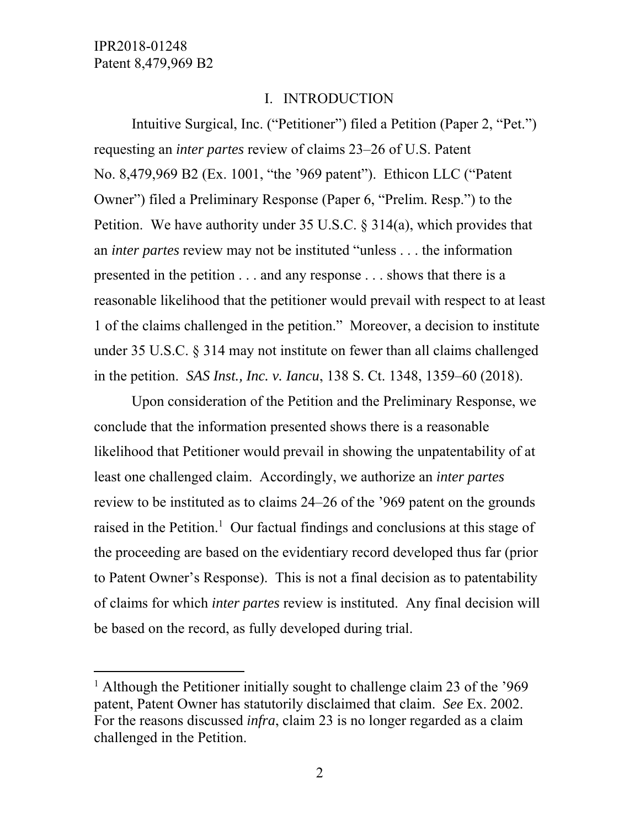$\overline{a}$ 

#### I. INTRODUCTION

Intuitive Surgical, Inc. ("Petitioner") filed a Petition (Paper 2, "Pet.") requesting an *inter partes* review of claims 23–26 of U.S. Patent No. 8,479,969 B2 (Ex. 1001, "the '969 patent"). Ethicon LLC ("Patent Owner") filed a Preliminary Response (Paper 6, "Prelim. Resp.") to the Petition. We have authority under 35 U.S.C.  $\S$  314(a), which provides that an *inter partes* review may not be instituted "unless . . . the information presented in the petition . . . and any response . . . shows that there is a reasonable likelihood that the petitioner would prevail with respect to at least 1 of the claims challenged in the petition." Moreover, a decision to institute under 35 U.S.C. § 314 may not institute on fewer than all claims challenged in the petition. *SAS Inst., Inc. v. Iancu*, 138 S. Ct. 1348, 1359–60 (2018).

Upon consideration of the Petition and the Preliminary Response, we conclude that the information presented shows there is a reasonable likelihood that Petitioner would prevail in showing the unpatentability of at least one challenged claim. Accordingly, we authorize an *inter partes* review to be instituted as to claims 24–26 of the '969 patent on the grounds raised in the Petition.<sup>1</sup> Our factual findings and conclusions at this stage of the proceeding are based on the evidentiary record developed thus far (prior to Patent Owner's Response). This is not a final decision as to patentability of claims for which *inter partes* review is instituted. Any final decision will be based on the record, as fully developed during trial.

<sup>&</sup>lt;sup>1</sup> Although the Petitioner initially sought to challenge claim 23 of the '969 patent, Patent Owner has statutorily disclaimed that claim. *See* Ex. 2002. For the reasons discussed *infra*, claim 23 is no longer regarded as a claim challenged in the Petition.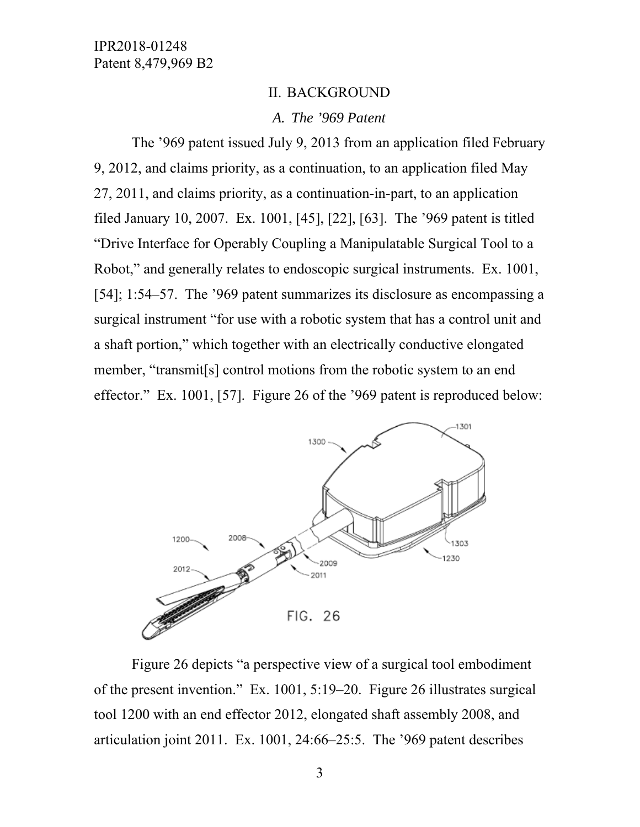#### II. BACKGROUND

#### *A. The '969 Patent*

The '969 patent issued July 9, 2013 from an application filed February 9, 2012, and claims priority, as a continuation, to an application filed May 27, 2011, and claims priority, as a continuation-in-part, to an application filed January 10, 2007. Ex. 1001, [45], [22], [63]. The '969 patent is titled "Drive Interface for Operably Coupling a Manipulatable Surgical Tool to a Robot," and generally relates to endoscopic surgical instruments. Ex. 1001, [54]; 1:54–57. The '969 patent summarizes its disclosure as encompassing a surgical instrument "for use with a robotic system that has a control unit and a shaft portion," which together with an electrically conductive elongated member, "transmit[s] control motions from the robotic system to an end effector." Ex. 1001, [57]. Figure 26 of the '969 patent is reproduced below:



Figure 26 depicts "a perspective view of a surgical tool embodiment of the present invention." Ex. 1001, 5:19–20. Figure 26 illustrates surgical tool 1200 with an end effector 2012, elongated shaft assembly 2008, and articulation joint 2011. Ex. 1001, 24:66–25:5. The '969 patent describes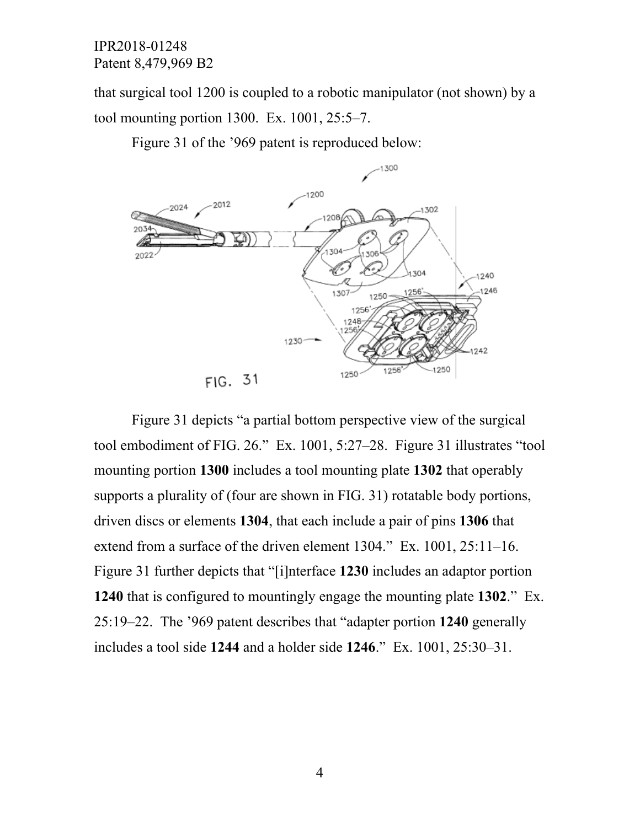that surgical tool 1200 is coupled to a robotic manipulator (not shown) by a tool mounting portion 1300. Ex. 1001, 25:5–7.

Figure 31 of the '969 patent is reproduced below:



Figure 31 depicts "a partial bottom perspective view of the surgical tool embodiment of FIG. 26." Ex. 1001, 5:27–28. Figure 31 illustrates "tool mounting portion **1300** includes a tool mounting plate **1302** that operably supports a plurality of (four are shown in FIG. 31) rotatable body portions, driven discs or elements **1304**, that each include a pair of pins **1306** that extend from a surface of the driven element 1304." Ex. 1001, 25:11–16. Figure 31 further depicts that "[i]nterface **1230** includes an adaptor portion **1240** that is configured to mountingly engage the mounting plate **1302**." Ex. 25:19–22. The '969 patent describes that "adapter portion **1240** generally includes a tool side **1244** and a holder side **1246**." Ex. 1001, 25:30–31.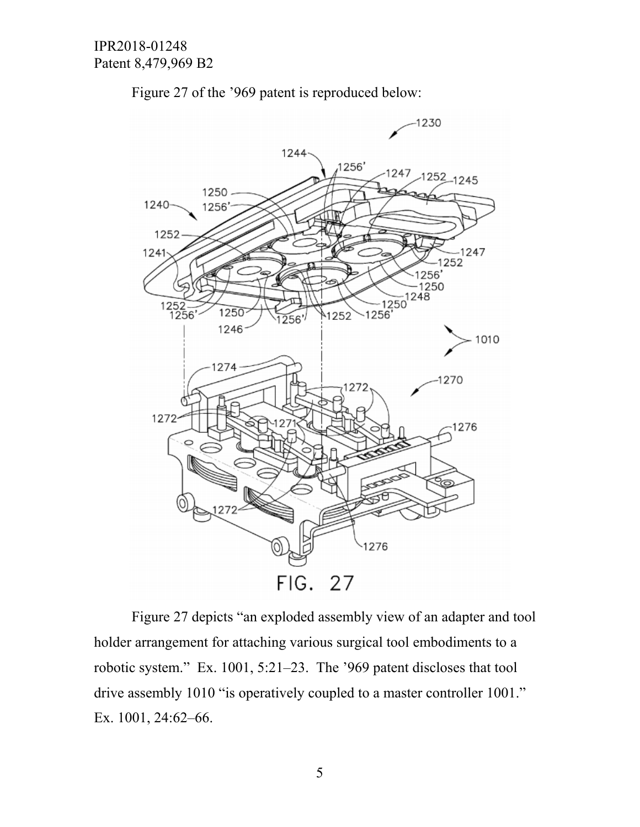

Figure 27 of the '969 patent is reproduced below:

Figure 27 depicts "an exploded assembly view of an adapter and tool holder arrangement for attaching various surgical tool embodiments to a robotic system." Ex. 1001, 5:21–23. The '969 patent discloses that tool drive assembly 1010 "is operatively coupled to a master controller 1001." Ex. 1001, 24:62–66.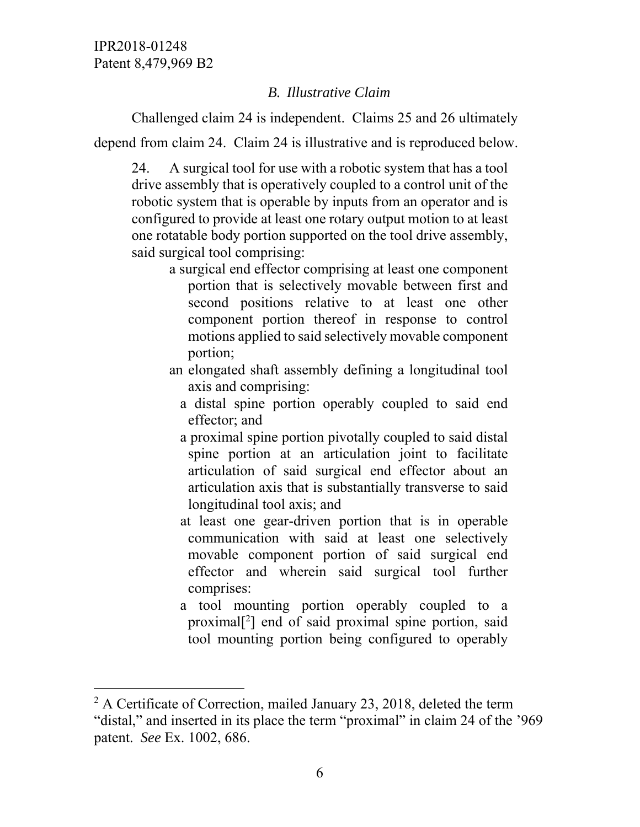-

# *B. Illustrative Claim*

Challenged claim 24 is independent. Claims 25 and 26 ultimately

depend from claim 24. Claim 24 is illustrative and is reproduced below.

24. A surgical tool for use with a robotic system that has a tool drive assembly that is operatively coupled to a control unit of the robotic system that is operable by inputs from an operator and is configured to provide at least one rotary output motion to at least one rotatable body portion supported on the tool drive assembly, said surgical tool comprising:

- a surgical end effector comprising at least one component portion that is selectively movable between first and second positions relative to at least one other component portion thereof in response to control motions applied to said selectively movable component portion;
- an elongated shaft assembly defining a longitudinal tool axis and comprising:
	- a distal spine portion operably coupled to said end effector; and
	- a proximal spine portion pivotally coupled to said distal spine portion at an articulation joint to facilitate articulation of said surgical end effector about an articulation axis that is substantially transverse to said longitudinal tool axis; and
	- at least one gear-driven portion that is in operable communication with said at least one selectively movable component portion of said surgical end effector and wherein said surgical tool further comprises:
	- a tool mounting portion operably coupled to a proximal[2 ] end of said proximal spine portion, said tool mounting portion being configured to operably

 $2^2$  A Certificate of Correction, mailed January 23, 2018, deleted the term "distal," and inserted in its place the term "proximal" in claim 24 of the '969 patent. *See* Ex. 1002, 686.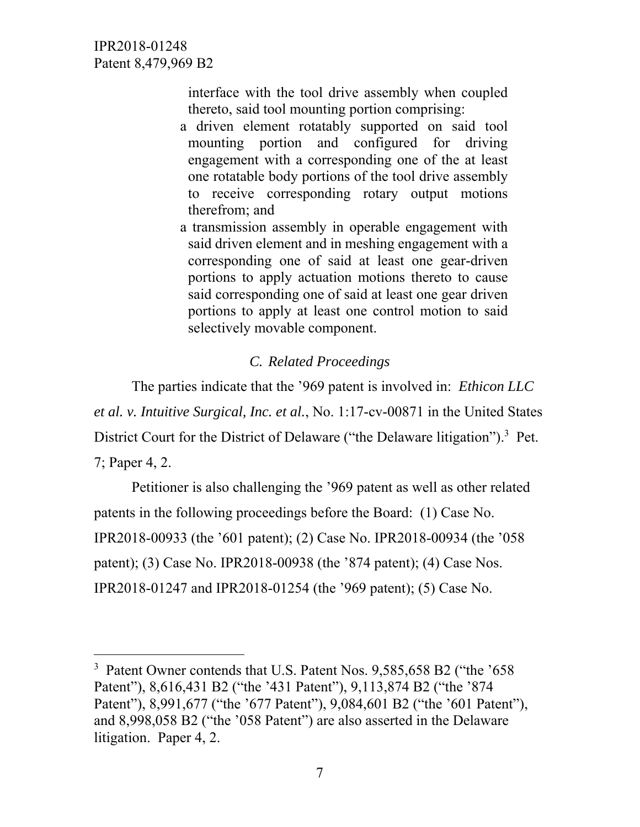$\overline{a}$ 

interface with the tool drive assembly when coupled thereto, said tool mounting portion comprising:

- a driven element rotatably supported on said tool mounting portion and configured for driving engagement with a corresponding one of the at least one rotatable body portions of the tool drive assembly to receive corresponding rotary output motions therefrom; and
- a transmission assembly in operable engagement with said driven element and in meshing engagement with a corresponding one of said at least one gear-driven portions to apply actuation motions thereto to cause said corresponding one of said at least one gear driven portions to apply at least one control motion to said selectively movable component.

### *C. Related Proceedings*

The parties indicate that the '969 patent is involved in: *Ethicon LLC et al. v. Intuitive Surgical, Inc. et al.*, No. 1:17-cv-00871 in the United States District Court for the District of Delaware ("the Delaware litigation").<sup>3</sup> Pet. 7; Paper 4, 2.

Petitioner is also challenging the '969 patent as well as other related patents in the following proceedings before the Board: (1) Case No. IPR2018-00933 (the '601 patent); (2) Case No. IPR2018-00934 (the '058 patent); (3) Case No. IPR2018-00938 (the '874 patent); (4) Case Nos. IPR2018-01247 and IPR2018-01254 (the '969 patent); (5) Case No.

<sup>&</sup>lt;sup>3</sup> Patent Owner contends that U.S. Patent Nos. 9,585,658 B2 ("the '658" Patent"), 8,616,431 B2 ("the '431 Patent"), 9,113,874 B2 ("the '874 Patent"), 8,991,677 ("the '677 Patent"), 9,084,601 B2 ("the '601 Patent"), and 8,998,058 B2 ("the '058 Patent") are also asserted in the Delaware litigation. Paper 4, 2.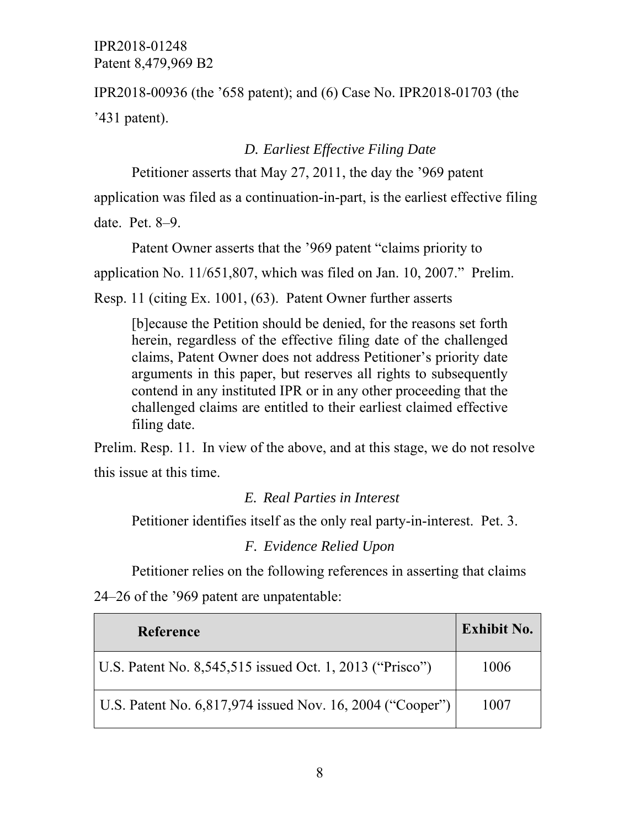IPR2018-00936 (the '658 patent); and (6) Case No. IPR2018-01703 (the '431 patent).

## *D. Earliest Effective Filing Date*

Petitioner asserts that May 27, 2011, the day the '969 patent application was filed as a continuation-in-part, is the earliest effective filing date. Pet. 8–9.

Patent Owner asserts that the '969 patent "claims priority to

application No. 11/651,807, which was filed on Jan. 10, 2007." Prelim.

Resp. 11 (citing Ex. 1001, (63). Patent Owner further asserts

[b]ecause the Petition should be denied, for the reasons set forth herein, regardless of the effective filing date of the challenged claims, Patent Owner does not address Petitioner's priority date arguments in this paper, but reserves all rights to subsequently contend in any instituted IPR or in any other proceeding that the challenged claims are entitled to their earliest claimed effective filing date.

Prelim. Resp. 11. In view of the above, and at this stage, we do not resolve this issue at this time.

#### *E. Real Parties in Interest*

Petitioner identifies itself as the only real party-in-interest. Pet. 3.

#### *F. Evidence Relied Upon*

Petitioner relies on the following references in asserting that claims 24–26 of the '969 patent are unpatentable:

| <b>Reference</b>                                          | <b>Exhibit No.</b> |
|-----------------------------------------------------------|--------------------|
| U.S. Patent No. 8,545,515 issued Oct. 1, 2013 ("Prisco")  | 1006               |
| U.S. Patent No. 6,817,974 issued Nov. 16, 2004 ("Cooper") | 1007               |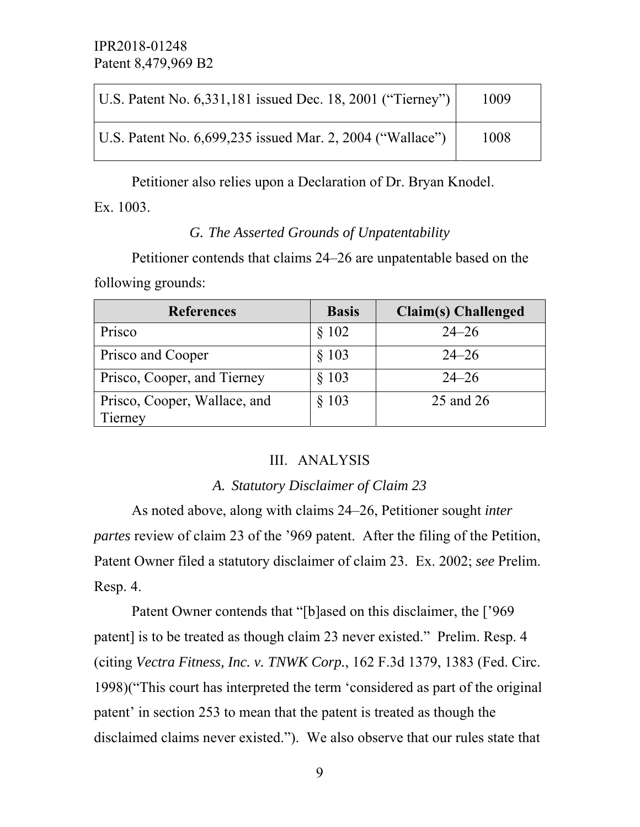| U.S. Patent No. 6,331,181 issued Dec. 18, 2001 ("Tierney")  | 1009 |
|-------------------------------------------------------------|------|
| U.S. Patent No. $6,699,235$ issued Mar. 2, 2004 ("Wallace") | 1008 |

Petitioner also relies upon a Declaration of Dr. Bryan Knodel.

Ex. 1003.

# *G. The Asserted Grounds of Unpatentability*

Petitioner contends that claims 24–26 are unpatentable based on the following grounds:

| <b>References</b>            | <b>Basis</b> | <b>Claim(s)</b> Challenged |
|------------------------------|--------------|----------------------------|
| Prisco                       | § 102        | $24 - 26$                  |
| Prisco and Cooper            | $§$ 103      | $24 - 26$                  |
| Prisco, Cooper, and Tierney  | $§$ 103      | $24 - 26$                  |
| Prisco, Cooper, Wallace, and | $§$ 103      | 25 and 26                  |
| Tierney                      |              |                            |

# III. ANALYSIS

# *A. Statutory Disclaimer of Claim 23*

As noted above, along with claims 24–26, Petitioner sought *inter partes* review of claim 23 of the '969 patent. After the filing of the Petition, Patent Owner filed a statutory disclaimer of claim 23. Ex. 2002; *see* Prelim. Resp. 4.

Patent Owner contends that "[b]ased on this disclaimer, the ['969 patent] is to be treated as though claim 23 never existed." Prelim. Resp. 4 (citing *Vectra Fitness, Inc. v. TNWK Corp.*, 162 F.3d 1379, 1383 (Fed. Circ. 1998)("This court has interpreted the term 'considered as part of the original patent' in section 253 to mean that the patent is treated as though the disclaimed claims never existed."). We also observe that our rules state that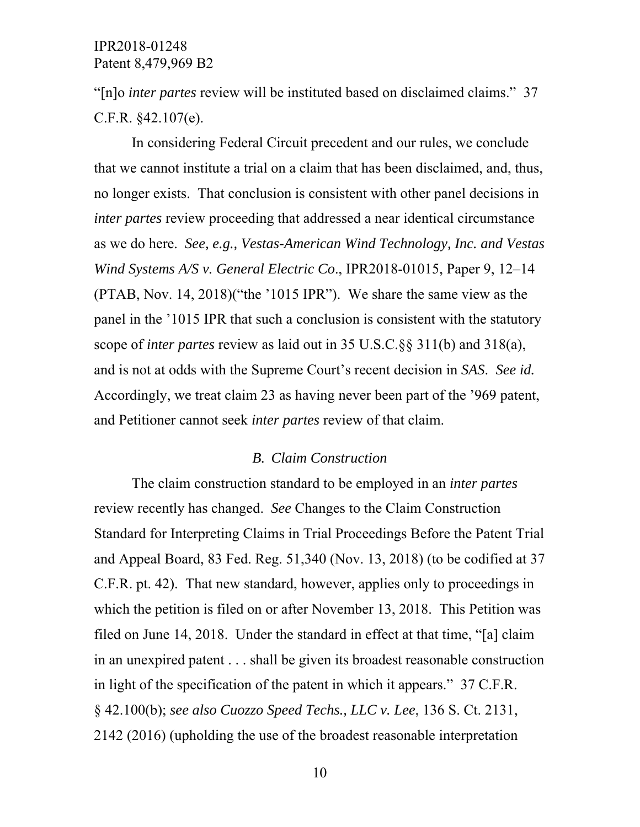"[n]o *inter partes* review will be instituted based on disclaimed claims." 37 C.F.R. §42.107(e).

In considering Federal Circuit precedent and our rules, we conclude that we cannot institute a trial on a claim that has been disclaimed, and, thus, no longer exists. That conclusion is consistent with other panel decisions in *inter partes* review proceeding that addressed a near identical circumstance as we do here. *See, e.g., Vestas-American Wind Technology, Inc. and Vestas Wind Systems A/S v. General Electric Co*., IPR2018-01015, Paper 9, 12–14 (PTAB, Nov. 14, 2018)("the '1015 IPR"). We share the same view as the panel in the '1015 IPR that such a conclusion is consistent with the statutory scope of *inter partes* review as laid out in 35 U.S.C.§§ 311(b) and 318(a), and is not at odds with the Supreme Court's recent decision in *SAS*. *See id.*  Accordingly, we treat claim 23 as having never been part of the '969 patent, and Petitioner cannot seek *inter partes* review of that claim.

#### *B. Claim Construction*

The claim construction standard to be employed in an *inter partes*  review recently has changed. *See* Changes to the Claim Construction Standard for Interpreting Claims in Trial Proceedings Before the Patent Trial and Appeal Board, 83 Fed. Reg. 51,340 (Nov. 13, 2018) (to be codified at 37 C.F.R. pt. 42). That new standard, however, applies only to proceedings in which the petition is filed on or after November 13, 2018. This Petition was filed on June 14, 2018. Under the standard in effect at that time, "[a] claim in an unexpired patent . . . shall be given its broadest reasonable construction in light of the specification of the patent in which it appears." 37 C.F.R. § 42.100(b); *see also Cuozzo Speed Techs., LLC v. Lee*, 136 S. Ct. 2131, 2142 (2016) (upholding the use of the broadest reasonable interpretation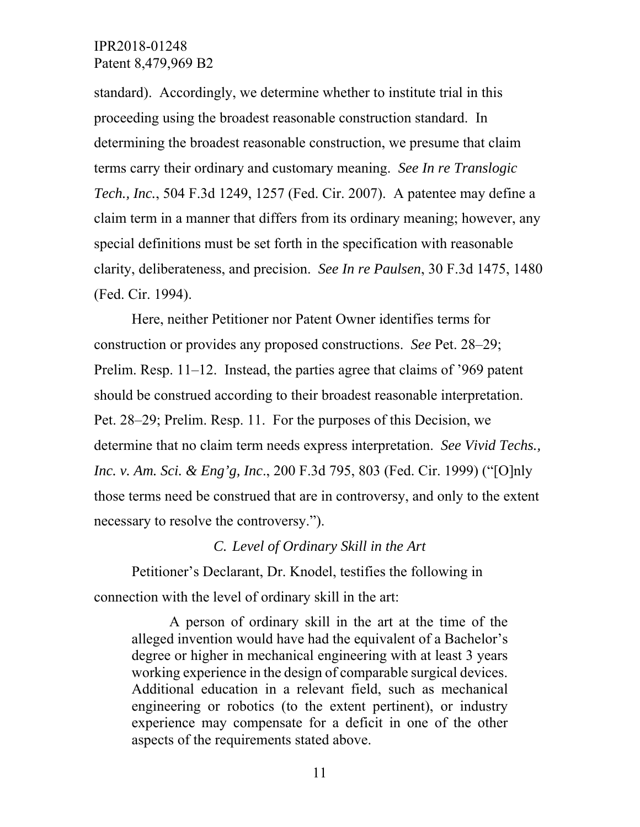standard). Accordingly, we determine whether to institute trial in this proceeding using the broadest reasonable construction standard. In determining the broadest reasonable construction, we presume that claim terms carry their ordinary and customary meaning. *See In re Translogic Tech., Inc.*, 504 F.3d 1249, 1257 (Fed. Cir. 2007). A patentee may define a claim term in a manner that differs from its ordinary meaning; however, any special definitions must be set forth in the specification with reasonable clarity, deliberateness, and precision. *See In re Paulsen*, 30 F.3d 1475, 1480 (Fed. Cir. 1994).

Here, neither Petitioner nor Patent Owner identifies terms for construction or provides any proposed constructions. *See* Pet. 28–29; Prelim. Resp. 11–12. Instead, the parties agree that claims of '969 patent should be construed according to their broadest reasonable interpretation. Pet. 28–29; Prelim. Resp. 11. For the purposes of this Decision, we determine that no claim term needs express interpretation. *See Vivid Techs., Inc. v. Am. Sci. & Eng'g, Inc*., 200 F.3d 795, 803 (Fed. Cir. 1999) ("[O]nly those terms need be construed that are in controversy, and only to the extent necessary to resolve the controversy.").

#### *C. Level of Ordinary Skill in the Art*

Petitioner's Declarant, Dr. Knodel, testifies the following in connection with the level of ordinary skill in the art:

A person of ordinary skill in the art at the time of the alleged invention would have had the equivalent of a Bachelor's degree or higher in mechanical engineering with at least 3 years working experience in the design of comparable surgical devices. Additional education in a relevant field, such as mechanical engineering or robotics (to the extent pertinent), or industry experience may compensate for a deficit in one of the other aspects of the requirements stated above.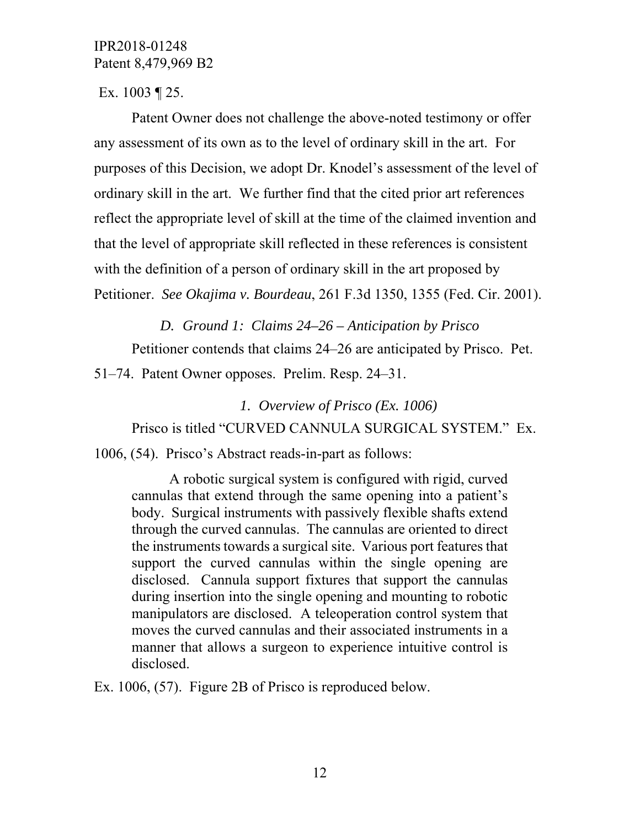Ex. 1003 ¶ 25.

Patent Owner does not challenge the above-noted testimony or offer any assessment of its own as to the level of ordinary skill in the art. For purposes of this Decision, we adopt Dr. Knodel's assessment of the level of ordinary skill in the art. We further find that the cited prior art references reflect the appropriate level of skill at the time of the claimed invention and that the level of appropriate skill reflected in these references is consistent with the definition of a person of ordinary skill in the art proposed by Petitioner. *See Okajima v. Bourdeau*, 261 F.3d 1350, 1355 (Fed. Cir. 2001).

*D. Ground 1: Claims 24–26 – Anticipation by Prisco*  Petitioner contends that claims 24–26 are anticipated by Prisco. Pet.

51–74. Patent Owner opposes. Prelim. Resp. 24–31.

*1. Overview of Prisco (Ex. 1006)*  Prisco is titled "CURVED CANNULA SURGICAL SYSTEM." Ex.

1006, (54). Prisco's Abstract reads-in-part as follows:

A robotic surgical system is configured with rigid, curved cannulas that extend through the same opening into a patient's body. Surgical instruments with passively flexible shafts extend through the curved cannulas. The cannulas are oriented to direct the instruments towards a surgical site. Various port features that support the curved cannulas within the single opening are disclosed. Cannula support fixtures that support the cannulas during insertion into the single opening and mounting to robotic manipulators are disclosed. A teleoperation control system that moves the curved cannulas and their associated instruments in a manner that allows a surgeon to experience intuitive control is disclosed.

Ex. 1006, (57). Figure 2B of Prisco is reproduced below.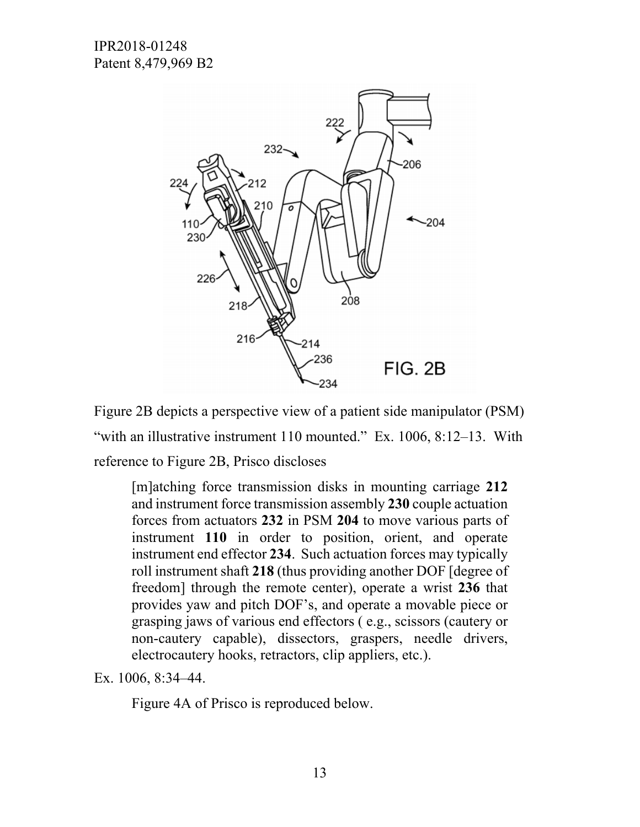

Figure 2B depicts a perspective view of a patient side manipulator (PSM) "with an illustrative instrument 110 mounted." Ex. 1006, 8:12–13. With reference to Figure 2B, Prisco discloses

[m]atching force transmission disks in mounting carriage **212** and instrument force transmission assembly **230** couple actuation forces from actuators **232** in PSM **204** to move various parts of instrument **110** in order to position, orient, and operate instrument end effector **234**. Such actuation forces may typically roll instrument shaft **218** (thus providing another DOF [degree of freedom] through the remote center), operate a wrist **236** that provides yaw and pitch DOF's, and operate a movable piece or grasping jaws of various end effectors ( e.g., scissors (cautery or non-cautery capable), dissectors, graspers, needle drivers, electrocautery hooks, retractors, clip appliers, etc.).

Ex. 1006, 8:34–44.

Figure 4A of Prisco is reproduced below.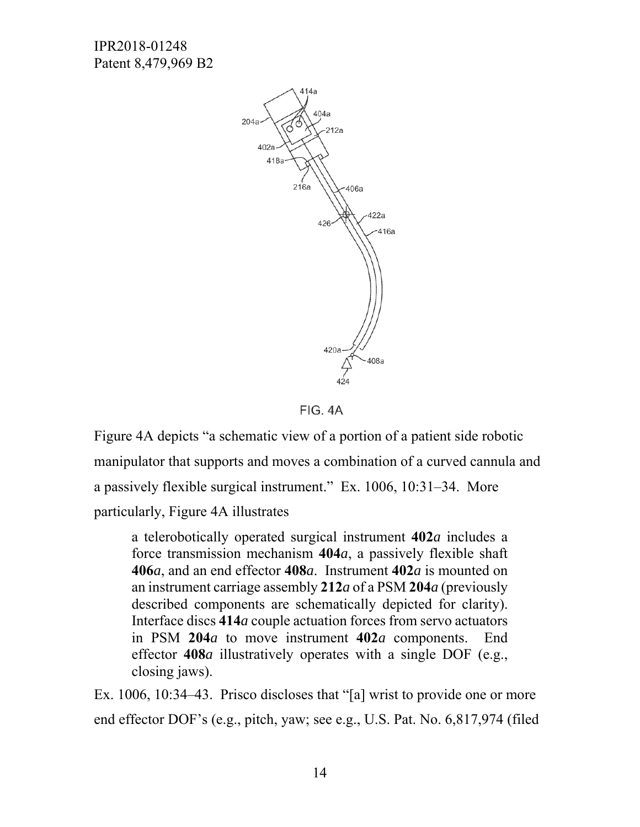

FIG. 4A

Figure 4A depicts "a schematic view of a portion of a patient side robotic manipulator that supports and moves a combination of a curved cannula and a passively flexible surgical instrument." Ex. 1006, 10:31–34. More particularly, Figure 4A illustrates

a telerobotically operated surgical instrument **402***a* includes a force transmission mechanism **404***a*, a passively flexible shaft **406***a*, and an end effector **408***a*. Instrument **402***a* is mounted on an instrument carriage assembly **212***a* of a PSM **204***a* (previously described components are schematically depicted for clarity). Interface discs **414***a* couple actuation forces from servo actuators in PSM **204***a* to move instrument **402***a* components. End effector **408***a* illustratively operates with a single DOF (e.g., closing jaws).

Ex. 1006, 10:34–43. Prisco discloses that "[a] wrist to provide one or more end effector DOF's (e.g., pitch, yaw; see e.g., U.S. Pat. No. 6,817,974 (filed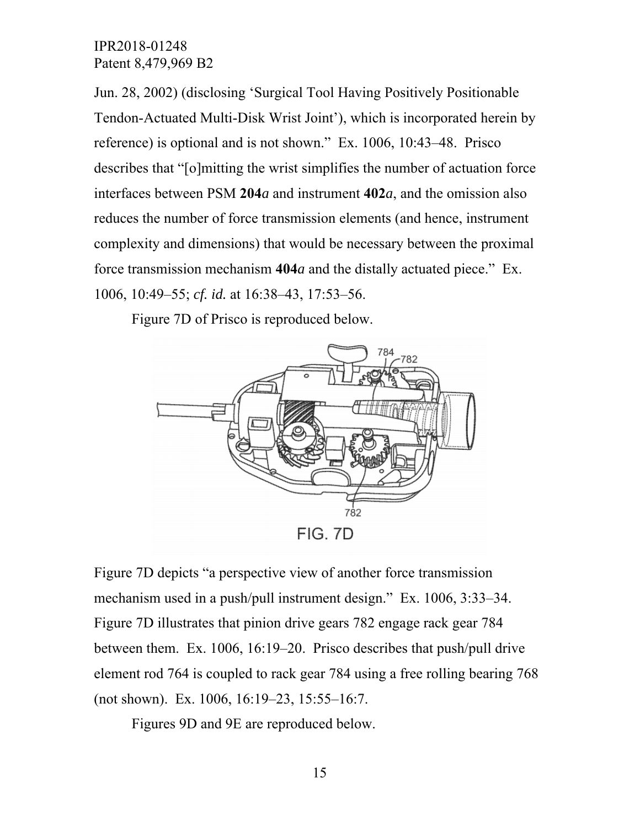Jun. 28, 2002) (disclosing 'Surgical Tool Having Positively Positionable Tendon-Actuated Multi-Disk Wrist Joint'), which is incorporated herein by reference) is optional and is not shown." Ex. 1006, 10:43–48. Prisco describes that "[o]mitting the wrist simplifies the number of actuation force interfaces between PSM **204***a* and instrument **402***a*, and the omission also reduces the number of force transmission elements (and hence, instrument complexity and dimensions) that would be necessary between the proximal force transmission mechanism **404***a* and the distally actuated piece." Ex. 1006, 10:49–55; *cf. id.* at 16:38–43, 17:53–56.

Figure 7D of Prisco is reproduced below.



Figure 7D depicts "a perspective view of another force transmission mechanism used in a push/pull instrument design." Ex. 1006, 3:33–34. Figure 7D illustrates that pinion drive gears 782 engage rack gear 784 between them. Ex. 1006, 16:19–20. Prisco describes that push/pull drive element rod 764 is coupled to rack gear 784 using a free rolling bearing 768 (not shown). Ex. 1006, 16:19–23, 15:55–16:7.

Figures 9D and 9E are reproduced below.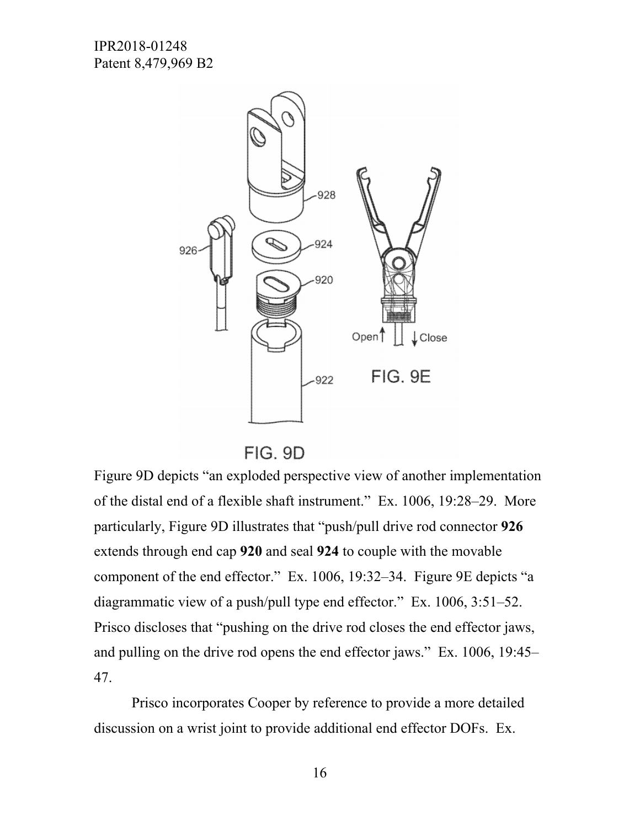

FIG. 9D

Figure 9D depicts "an exploded perspective view of another implementation of the distal end of a flexible shaft instrument." Ex. 1006, 19:28–29. More particularly, Figure 9D illustrates that "push/pull drive rod connector **926** extends through end cap **920** and seal **924** to couple with the movable component of the end effector." Ex. 1006, 19:32–34. Figure 9E depicts "a diagrammatic view of a push/pull type end effector." Ex. 1006, 3:51–52. Prisco discloses that "pushing on the drive rod closes the end effector jaws, and pulling on the drive rod opens the end effector jaws." Ex. 1006, 19:45– 47.

Prisco incorporates Cooper by reference to provide a more detailed discussion on a wrist joint to provide additional end effector DOFs. Ex.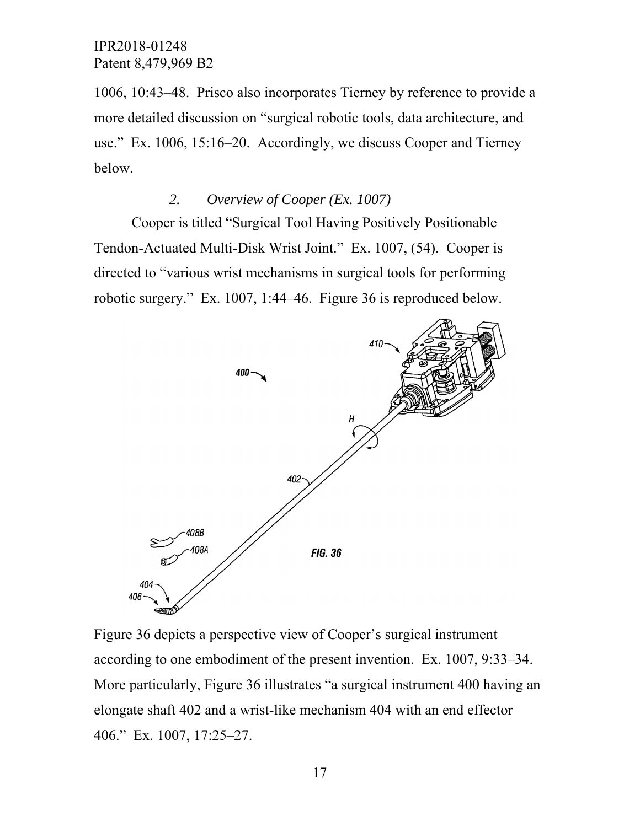1006, 10:43–48. Prisco also incorporates Tierney by reference to provide a more detailed discussion on "surgical robotic tools, data architecture, and use." Ex. 1006, 15:16–20. Accordingly, we discuss Cooper and Tierney below.

# *2. Overview of Cooper (Ex. 1007)*

Cooper is titled "Surgical Tool Having Positively Positionable Tendon-Actuated Multi-Disk Wrist Joint." Ex. 1007, (54). Cooper is directed to "various wrist mechanisms in surgical tools for performing robotic surgery." Ex. 1007, 1:44–46. Figure 36 is reproduced below.



Figure 36 depicts a perspective view of Cooper's surgical instrument according to one embodiment of the present invention. Ex. 1007, 9:33–34. More particularly, Figure 36 illustrates "a surgical instrument 400 having an elongate shaft 402 and a wrist-like mechanism 404 with an end effector 406." Ex. 1007, 17:25–27.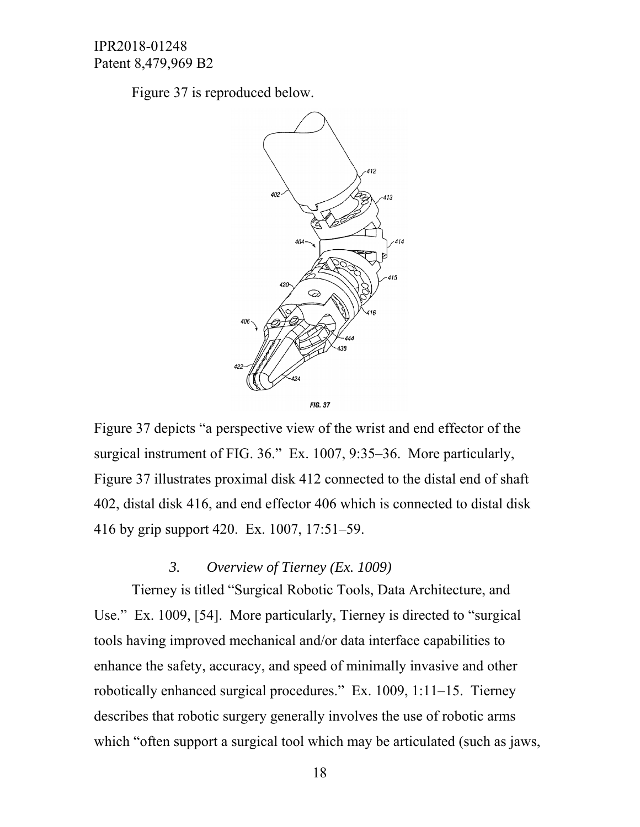Figure 37 is reproduced below.



Figure 37 depicts "a perspective view of the wrist and end effector of the surgical instrument of FIG. 36." Ex. 1007, 9:35–36. More particularly, Figure 37 illustrates proximal disk 412 connected to the distal end of shaft 402, distal disk 416, and end effector 406 which is connected to distal disk 416 by grip support 420. Ex. 1007, 17:51–59.

# *3. Overview of Tierney (Ex. 1009)*

Tierney is titled "Surgical Robotic Tools, Data Architecture, and Use." Ex. 1009, [54]. More particularly, Tierney is directed to "surgical tools having improved mechanical and/or data interface capabilities to enhance the safety, accuracy, and speed of minimally invasive and other robotically enhanced surgical procedures." Ex. 1009, 1:11–15. Tierney describes that robotic surgery generally involves the use of robotic arms which "often support a surgical tool which may be articulated (such as jaws,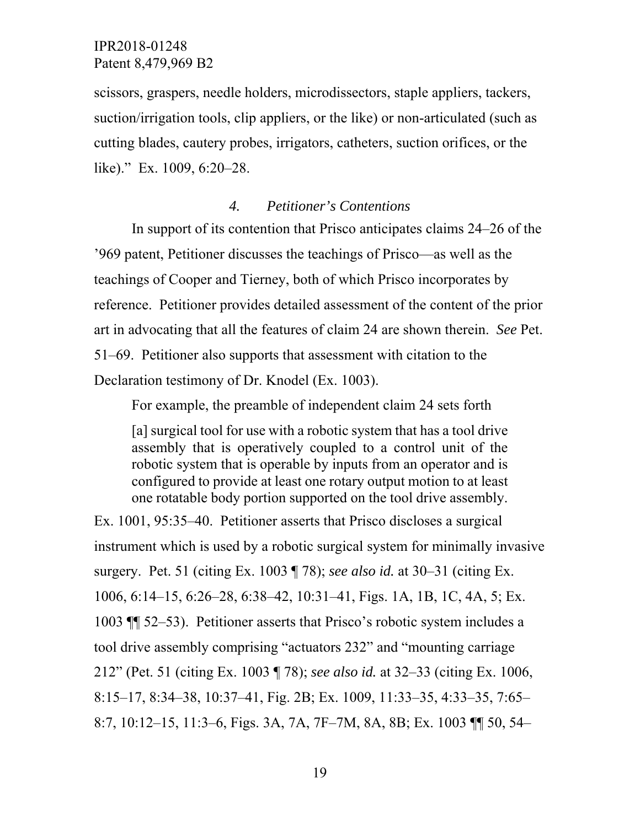scissors, graspers, needle holders, microdissectors, staple appliers, tackers, suction/irrigation tools, clip appliers, or the like) or non-articulated (such as cutting blades, cautery probes, irrigators, catheters, suction orifices, or the like)." Ex. 1009, 6:20–28.

#### *4. Petitioner's Contentions*

In support of its contention that Prisco anticipates claims 24–26 of the '969 patent, Petitioner discusses the teachings of Prisco—as well as the teachings of Cooper and Tierney, both of which Prisco incorporates by reference. Petitioner provides detailed assessment of the content of the prior art in advocating that all the features of claim 24 are shown therein. *See* Pet. 51–69. Petitioner also supports that assessment with citation to the Declaration testimony of Dr. Knodel (Ex. 1003).

For example, the preamble of independent claim 24 sets forth

[a] surgical tool for use with a robotic system that has a tool drive assembly that is operatively coupled to a control unit of the robotic system that is operable by inputs from an operator and is configured to provide at least one rotary output motion to at least one rotatable body portion supported on the tool drive assembly.

Ex. 1001, 95:35–40. Petitioner asserts that Prisco discloses a surgical instrument which is used by a robotic surgical system for minimally invasive surgery. Pet. 51 (citing Ex. 1003 ¶ 78); *see also id.* at 30–31 (citing Ex. 1006, 6:14–15, 6:26–28, 6:38–42, 10:31–41, Figs. 1A, 1B, 1C, 4A, 5; Ex. 1003 ¶¶ 52–53). Petitioner asserts that Prisco's robotic system includes a tool drive assembly comprising "actuators 232" and "mounting carriage 212" (Pet. 51 (citing Ex. 1003 ¶ 78); *see also id.* at 32–33 (citing Ex. 1006, 8:15–17, 8:34–38, 10:37–41, Fig. 2B; Ex. 1009, 11:33–35, 4:33–35, 7:65– 8:7, 10:12–15, 11:3–6, Figs. 3A, 7A, 7F–7M, 8A, 8B; Ex. 1003 ¶¶ 50, 54–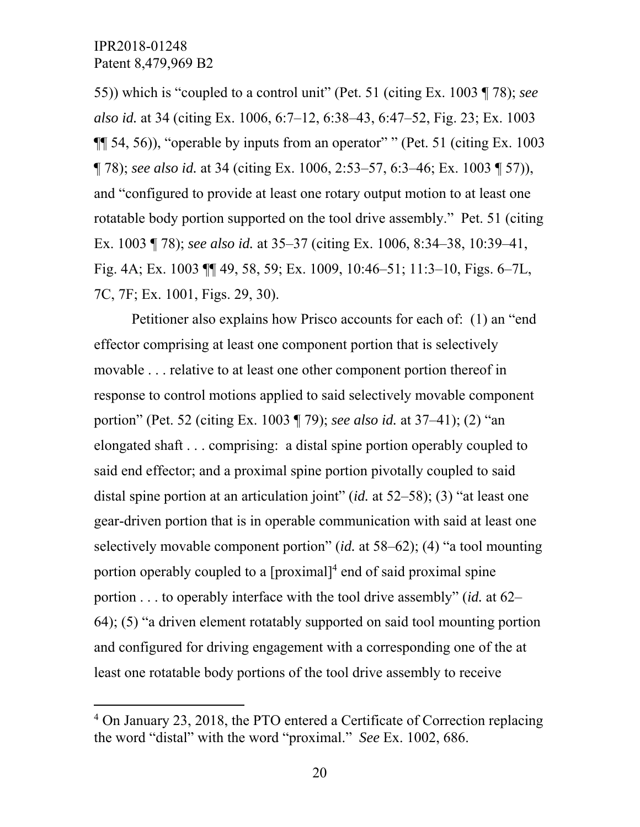-

55)) which is "coupled to a control unit" (Pet. 51 (citing Ex. 1003 ¶ 78); *see also id.* at 34 (citing Ex. 1006, 6:7–12, 6:38–43, 6:47–52, Fig. 23; Ex. 1003  $\P$  54, 56), "operable by inputs from an operator" " (Pet. 51 (citing Ex. 1003) ¶ 78); *see also id.* at 34 (citing Ex. 1006, 2:53–57, 6:3–46; Ex. 1003 ¶ 57)), and "configured to provide at least one rotary output motion to at least one rotatable body portion supported on the tool drive assembly." Pet. 51 (citing Ex. 1003 ¶ 78); *see also id.* at 35–37 (citing Ex. 1006, 8:34–38, 10:39–41, Fig. 4A; Ex. 1003 ¶¶ 49, 58, 59; Ex. 1009, 10:46–51; 11:3–10, Figs. 6–7L, 7C, 7F; Ex. 1001, Figs. 29, 30).

Petitioner also explains how Prisco accounts for each of: (1) an "end effector comprising at least one component portion that is selectively movable . . . relative to at least one other component portion thereof in response to control motions applied to said selectively movable component portion" (Pet. 52 (citing Ex. 1003 ¶ 79); *see also id.* at 37–41); (2) "an elongated shaft . . . comprising: a distal spine portion operably coupled to said end effector; and a proximal spine portion pivotally coupled to said distal spine portion at an articulation joint" (*id.* at 52–58); (3) "at least one gear-driven portion that is in operable communication with said at least one selectively movable component portion" (*id.* at 58–62); (4) "a tool mounting portion operably coupled to a  $[proximal]^4$  end of said proximal spine portion . . . to operably interface with the tool drive assembly" (*id.* at 62– 64); (5) "a driven element rotatably supported on said tool mounting portion and configured for driving engagement with a corresponding one of the at least one rotatable body portions of the tool drive assembly to receive

<sup>&</sup>lt;sup>4</sup> On January 23, 2018, the PTO entered a Certificate of Correction replacing the word "distal" with the word "proximal." *See* Ex. 1002, 686.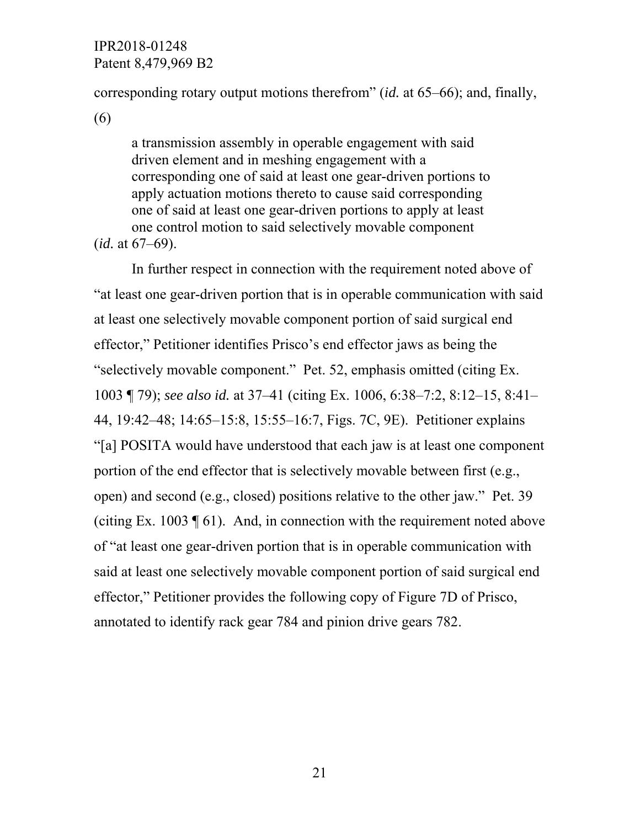corresponding rotary output motions therefrom" (*id.* at 65–66); and, finally,

(6)

a transmission assembly in operable engagement with said driven element and in meshing engagement with a corresponding one of said at least one gear-driven portions to apply actuation motions thereto to cause said corresponding one of said at least one gear-driven portions to apply at least one control motion to said selectively movable component (*id.* at 67–69).

In further respect in connection with the requirement noted above of "at least one gear-driven portion that is in operable communication with said at least one selectively movable component portion of said surgical end effector," Petitioner identifies Prisco's end effector jaws as being the "selectively movable component." Pet. 52, emphasis omitted (citing Ex. 1003 ¶ 79); *see also id.* at 37–41 (citing Ex. 1006, 6:38–7:2, 8:12–15, 8:41– 44, 19:42–48; 14:65–15:8, 15:55–16:7, Figs. 7C, 9E). Petitioner explains "[a] POSITA would have understood that each jaw is at least one component portion of the end effector that is selectively movable between first (e.g., open) and second (e.g., closed) positions relative to the other jaw." Pet. 39 (citing Ex. 1003  $\parallel$  61). And, in connection with the requirement noted above of "at least one gear-driven portion that is in operable communication with said at least one selectively movable component portion of said surgical end effector," Petitioner provides the following copy of Figure 7D of Prisco, annotated to identify rack gear 784 and pinion drive gears 782.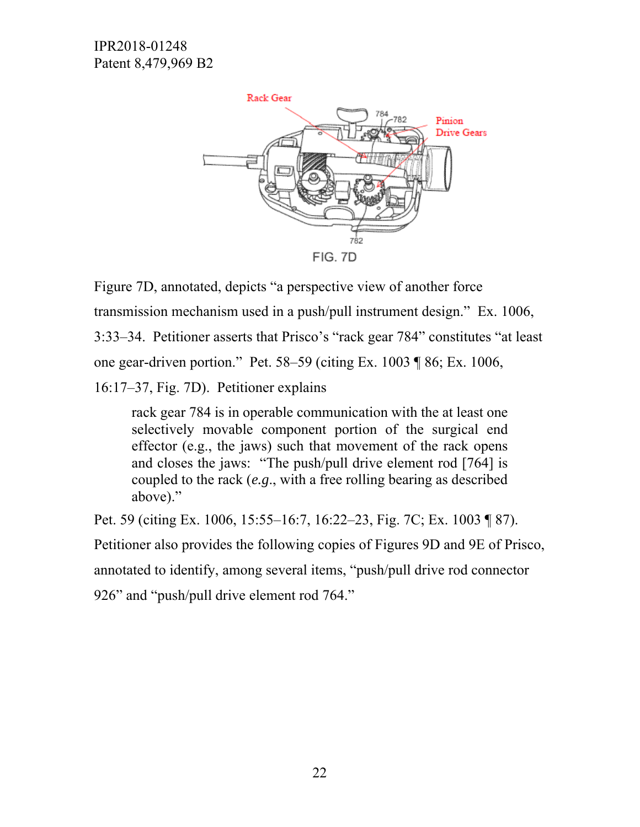

Figure 7D, annotated, depicts "a perspective view of another force transmission mechanism used in a push/pull instrument design." Ex. 1006, 3:33–34. Petitioner asserts that Prisco's "rack gear 784" constitutes "at least one gear-driven portion." Pet. 58–59 (citing Ex. 1003 ¶ 86; Ex. 1006,

16:17–37, Fig. 7D). Petitioner explains

rack gear 784 is in operable communication with the at least one selectively movable component portion of the surgical end effector (e.g., the jaws) such that movement of the rack opens and closes the jaws: "The push/pull drive element rod [764] is coupled to the rack (*e.g*., with a free rolling bearing as described above)."

Pet. 59 (citing Ex. 1006, 15:55–16:7, 16:22–23, Fig. 7C; Ex. 1003 ¶ 87). Petitioner also provides the following copies of Figures 9D and 9E of Prisco, annotated to identify, among several items, "push/pull drive rod connector 926" and "push/pull drive element rod 764."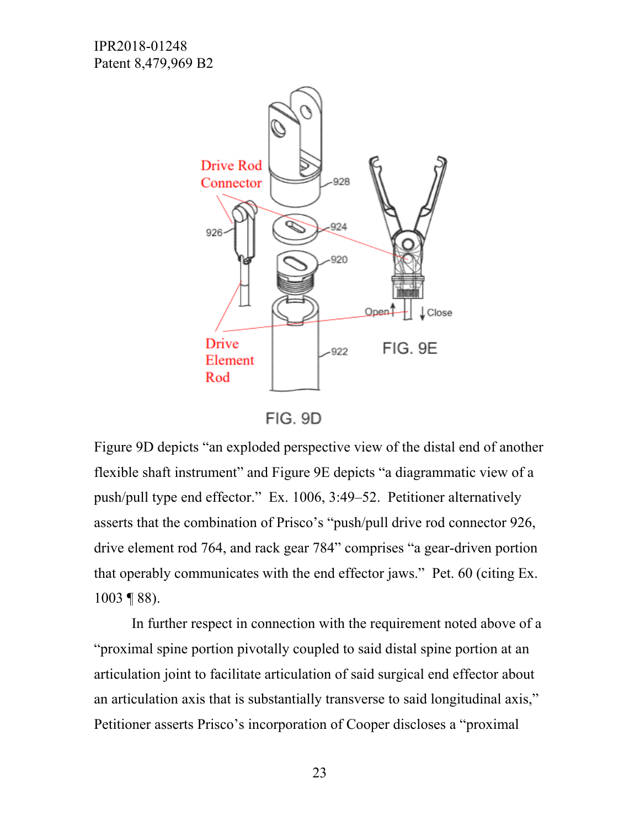

FIG. 9D

Figure 9D depicts "an exploded perspective view of the distal end of another flexible shaft instrument" and Figure 9E depicts "a diagrammatic view of a push/pull type end effector." Ex. 1006, 3:49–52. Petitioner alternatively asserts that the combination of Prisco's "push/pull drive rod connector 926, drive element rod 764, and rack gear 784" comprises "a gear-driven portion that operably communicates with the end effector jaws." Pet. 60 (citing Ex. 1003 ¶ 88).

In further respect in connection with the requirement noted above of a "proximal spine portion pivotally coupled to said distal spine portion at an articulation joint to facilitate articulation of said surgical end effector about an articulation axis that is substantially transverse to said longitudinal axis," Petitioner asserts Prisco's incorporation of Cooper discloses a "proximal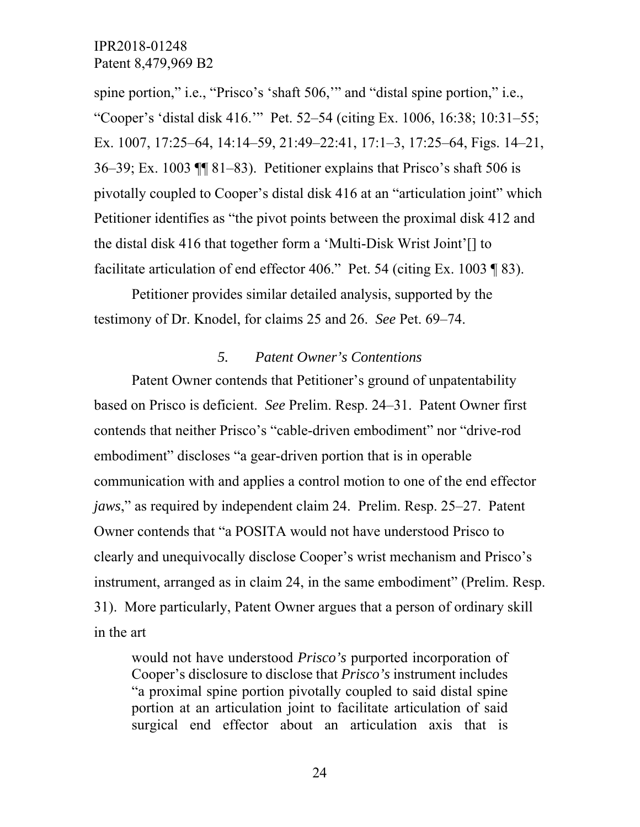spine portion," i.e., "Prisco's 'shaft 506,'" and "distal spine portion," i.e., "Cooper's 'distal disk 416.'" Pet. 52–54 (citing Ex. 1006, 16:38; 10:31–55; Ex. 1007, 17:25–64, 14:14–59, 21:49–22:41, 17:1–3, 17:25–64, Figs. 14–21, 36–39; Ex. 1003 ¶¶ 81–83). Petitioner explains that Prisco's shaft 506 is pivotally coupled to Cooper's distal disk 416 at an "articulation joint" which Petitioner identifies as "the pivot points between the proximal disk 412 and the distal disk 416 that together form a 'Multi-Disk Wrist Joint'[] to facilitate articulation of end effector 406." Pet. 54 (citing Ex. 1003 ¶ 83).

Petitioner provides similar detailed analysis, supported by the testimony of Dr. Knodel, for claims 25 and 26. *See* Pet. 69–74.

### *5. Patent Owner's Contentions*

Patent Owner contends that Petitioner's ground of unpatentability based on Prisco is deficient. *See* Prelim. Resp. 24–31. Patent Owner first contends that neither Prisco's "cable-driven embodiment" nor "drive-rod embodiment" discloses "a gear-driven portion that is in operable communication with and applies a control motion to one of the end effector *jaws*," as required by independent claim 24. Prelim. Resp. 25–27. Patent Owner contends that "a POSITA would not have understood Prisco to clearly and unequivocally disclose Cooper's wrist mechanism and Prisco's instrument, arranged as in claim 24, in the same embodiment" (Prelim. Resp. 31). More particularly, Patent Owner argues that a person of ordinary skill in the art

would not have understood *Prisco's* purported incorporation of Cooper's disclosure to disclose that *Prisco's* instrument includes "a proximal spine portion pivotally coupled to said distal spine portion at an articulation joint to facilitate articulation of said surgical end effector about an articulation axis that is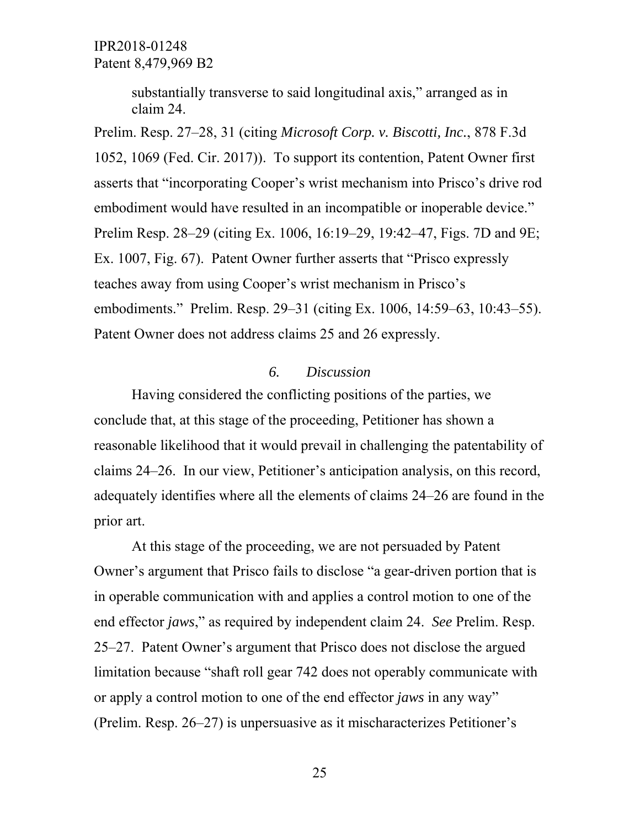> substantially transverse to said longitudinal axis," arranged as in claim 24.

Prelim. Resp. 27–28, 31 (citing *Microsoft Corp. v. Biscotti, Inc.*, 878 F.3d 1052, 1069 (Fed. Cir. 2017)). To support its contention, Patent Owner first asserts that "incorporating Cooper's wrist mechanism into Prisco's drive rod embodiment would have resulted in an incompatible or inoperable device." Prelim Resp. 28–29 (citing Ex. 1006, 16:19–29, 19:42–47, Figs. 7D and 9E; Ex. 1007, Fig. 67). Patent Owner further asserts that "Prisco expressly teaches away from using Cooper's wrist mechanism in Prisco's embodiments." Prelim. Resp. 29–31 (citing Ex. 1006, 14:59–63, 10:43–55). Patent Owner does not address claims 25 and 26 expressly.

#### *6. Discussion*

Having considered the conflicting positions of the parties, we conclude that, at this stage of the proceeding, Petitioner has shown a reasonable likelihood that it would prevail in challenging the patentability of claims 24–26. In our view, Petitioner's anticipation analysis, on this record, adequately identifies where all the elements of claims 24–26 are found in the prior art.

At this stage of the proceeding, we are not persuaded by Patent Owner's argument that Prisco fails to disclose "a gear-driven portion that is in operable communication with and applies a control motion to one of the end effector *jaws*," as required by independent claim 24. *See* Prelim. Resp. 25–27. Patent Owner's argument that Prisco does not disclose the argued limitation because "shaft roll gear 742 does not operably communicate with or apply a control motion to one of the end effector *jaws* in any way" (Prelim. Resp. 26–27) is unpersuasive as it mischaracterizes Petitioner's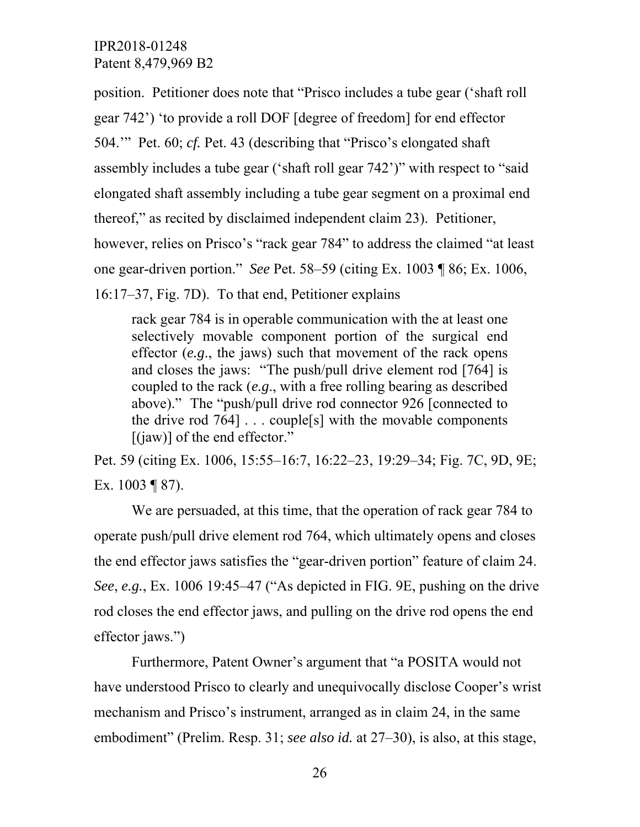position. Petitioner does note that "Prisco includes a tube gear ('shaft roll gear 742') 'to provide a roll DOF [degree of freedom] for end effector 504.'" Pet. 60; *cf.* Pet. 43 (describing that "Prisco's elongated shaft assembly includes a tube gear ('shaft roll gear 742')" with respect to "said elongated shaft assembly including a tube gear segment on a proximal end thereof," as recited by disclaimed independent claim 23). Petitioner, however, relies on Prisco's "rack gear 784" to address the claimed "at least one gear-driven portion." *See* Pet. 58–59 (citing Ex. 1003 ¶ 86; Ex. 1006, 16:17–37, Fig. 7D). To that end, Petitioner explains

rack gear 784 is in operable communication with the at least one selectively movable component portion of the surgical end effector (*e.g*., the jaws) such that movement of the rack opens and closes the jaws: "The push/pull drive element rod [764] is coupled to the rack (*e.g*., with a free rolling bearing as described above)." The "push/pull drive rod connector 926 [connected to the drive rod  $764$ ... couple<sup>[s]</sup> with the movable components  $[(iaw)]$  of the end effector."

Pet. 59 (citing Ex. 1006, 15:55–16:7, 16:22–23, 19:29–34; Fig. 7C, 9D, 9E; Ex. 1003 ¶ 87).

We are persuaded, at this time, that the operation of rack gear 784 to operate push/pull drive element rod 764, which ultimately opens and closes the end effector jaws satisfies the "gear-driven portion" feature of claim 24. *See*, *e.g.*, Ex. 1006 19:45–47 ("As depicted in FIG. 9E, pushing on the drive rod closes the end effector jaws, and pulling on the drive rod opens the end effector jaws.")

Furthermore, Patent Owner's argument that "a POSITA would not have understood Prisco to clearly and unequivocally disclose Cooper's wrist mechanism and Prisco's instrument, arranged as in claim 24, in the same embodiment" (Prelim. Resp. 31; *see also id.* at 27–30), is also, at this stage,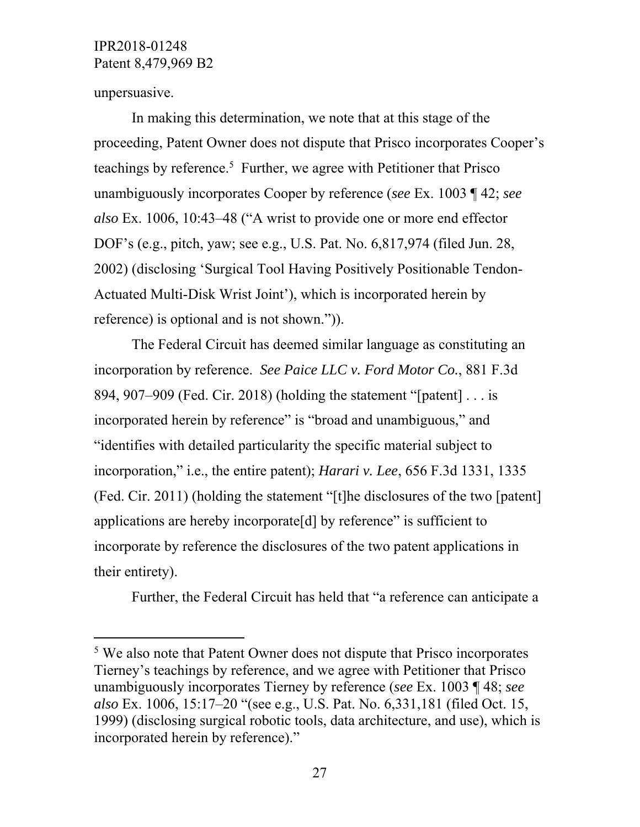unpersuasive.

l

In making this determination, we note that at this stage of the proceeding, Patent Owner does not dispute that Prisco incorporates Cooper's teachings by reference.<sup>5</sup> Further, we agree with Petitioner that Prisco unambiguously incorporates Cooper by reference (*see* Ex. 1003 ¶ 42; *see also* Ex. 1006, 10:43–48 ("A wrist to provide one or more end effector DOF's (e.g., pitch, yaw; see e.g., U.S. Pat. No. 6,817,974 (filed Jun. 28, 2002) (disclosing 'Surgical Tool Having Positively Positionable Tendon-Actuated Multi-Disk Wrist Joint'), which is incorporated herein by reference) is optional and is not shown.")).

The Federal Circuit has deemed similar language as constituting an incorporation by reference. *See Paice LLC v. Ford Motor Co.*, 881 F.3d 894, 907–909 (Fed. Cir. 2018) (holding the statement "[patent] . . . is incorporated herein by reference" is "broad and unambiguous," and "identifies with detailed particularity the specific material subject to incorporation," i.e., the entire patent); *Harari v. Lee*, 656 F.3d 1331, 1335 (Fed. Cir. 2011) (holding the statement "[t]he disclosures of the two [patent] applications are hereby incorporate[d] by reference" is sufficient to incorporate by reference the disclosures of the two patent applications in their entirety).

Further, the Federal Circuit has held that "a reference can anticipate a

<sup>&</sup>lt;sup>5</sup> We also note that Patent Owner does not dispute that Prisco incorporates Tierney's teachings by reference, and we agree with Petitioner that Prisco unambiguously incorporates Tierney by reference (*see* Ex. 1003 ¶ 48; *see also* Ex. 1006, 15:17–20 "(see e.g., U.S. Pat. No. 6,331,181 (filed Oct. 15, 1999) (disclosing surgical robotic tools, data architecture, and use), which is incorporated herein by reference)."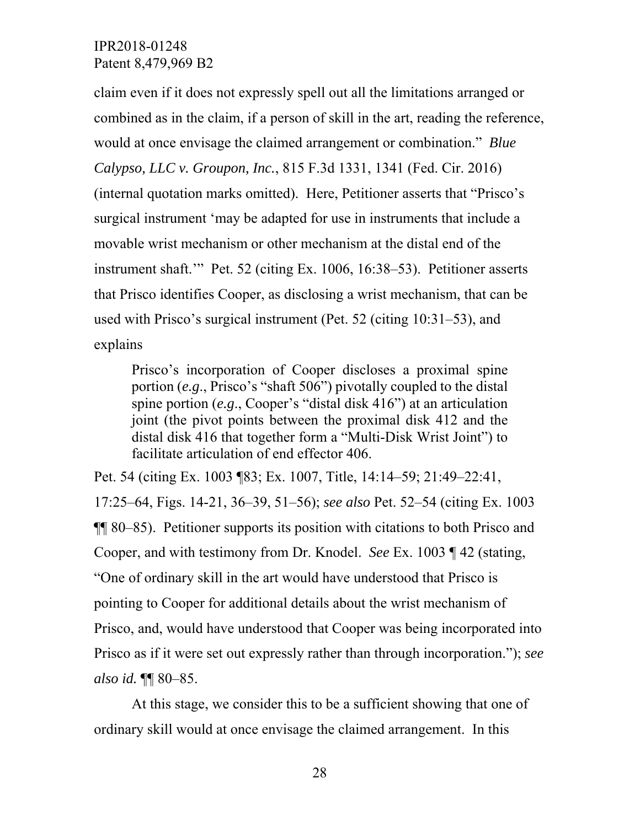claim even if it does not expressly spell out all the limitations arranged or combined as in the claim, if a person of skill in the art, reading the reference, would at once envisage the claimed arrangement or combination." *Blue Calypso, LLC v. Groupon, Inc.*, 815 F.3d 1331, 1341 (Fed. Cir. 2016) (internal quotation marks omitted). Here, Petitioner asserts that "Prisco's surgical instrument 'may be adapted for use in instruments that include a movable wrist mechanism or other mechanism at the distal end of the instrument shaft.'" Pet. 52 (citing Ex. 1006, 16:38–53). Petitioner asserts that Prisco identifies Cooper, as disclosing a wrist mechanism, that can be used with Prisco's surgical instrument (Pet. 52 (citing 10:31–53), and explains

Prisco's incorporation of Cooper discloses a proximal spine portion (*e.g*., Prisco's "shaft 506") pivotally coupled to the distal spine portion (*e.g*., Cooper's "distal disk 416") at an articulation joint (the pivot points between the proximal disk 412 and the distal disk 416 that together form a "Multi-Disk Wrist Joint") to facilitate articulation of end effector 406.

Pet. 54 (citing Ex. 1003 ¶83; Ex. 1007, Title, 14:14–59; 21:49–22:41, 17:25–64, Figs. 14-21, 36–39, 51–56); *see also* Pet. 52–54 (citing Ex. 1003 ¶¶ 80–85). Petitioner supports its position with citations to both Prisco and Cooper, and with testimony from Dr. Knodel. *See* Ex. 1003 ¶ 42 (stating, "One of ordinary skill in the art would have understood that Prisco is pointing to Cooper for additional details about the wrist mechanism of Prisco, and, would have understood that Cooper was being incorporated into Prisco as if it were set out expressly rather than through incorporation."); *see also id.* ¶¶ 80–85.

At this stage, we consider this to be a sufficient showing that one of ordinary skill would at once envisage the claimed arrangement. In this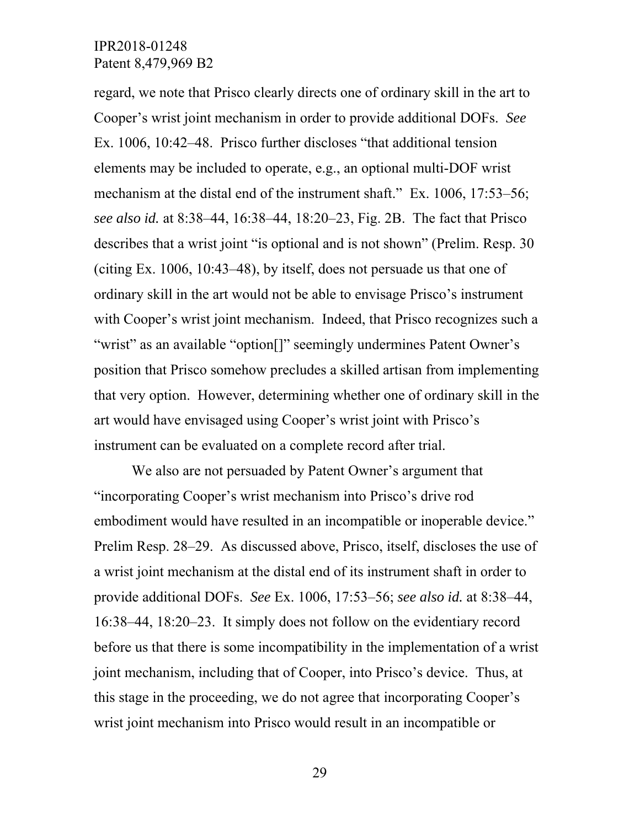regard, we note that Prisco clearly directs one of ordinary skill in the art to Cooper's wrist joint mechanism in order to provide additional DOFs. *See*  Ex. 1006, 10:42–48. Prisco further discloses "that additional tension elements may be included to operate, e.g., an optional multi-DOF wrist mechanism at the distal end of the instrument shaft." Ex. 1006, 17:53–56; *see also id.* at 8:38–44, 16:38–44, 18:20–23, Fig. 2B. The fact that Prisco describes that a wrist joint "is optional and is not shown" (Prelim. Resp. 30 (citing Ex. 1006, 10:43–48), by itself, does not persuade us that one of ordinary skill in the art would not be able to envisage Prisco's instrument with Cooper's wrist joint mechanism. Indeed, that Prisco recognizes such a "wrist" as an available "option[]" seemingly undermines Patent Owner's position that Prisco somehow precludes a skilled artisan from implementing that very option. However, determining whether one of ordinary skill in the art would have envisaged using Cooper's wrist joint with Prisco's instrument can be evaluated on a complete record after trial.

We also are not persuaded by Patent Owner's argument that "incorporating Cooper's wrist mechanism into Prisco's drive rod embodiment would have resulted in an incompatible or inoperable device." Prelim Resp. 28–29. As discussed above, Prisco, itself, discloses the use of a wrist joint mechanism at the distal end of its instrument shaft in order to provide additional DOFs. *See* Ex. 1006, 17:53–56; *see also id.* at 8:38–44, 16:38–44, 18:20–23. It simply does not follow on the evidentiary record before us that there is some incompatibility in the implementation of a wrist joint mechanism, including that of Cooper, into Prisco's device. Thus, at this stage in the proceeding, we do not agree that incorporating Cooper's wrist joint mechanism into Prisco would result in an incompatible or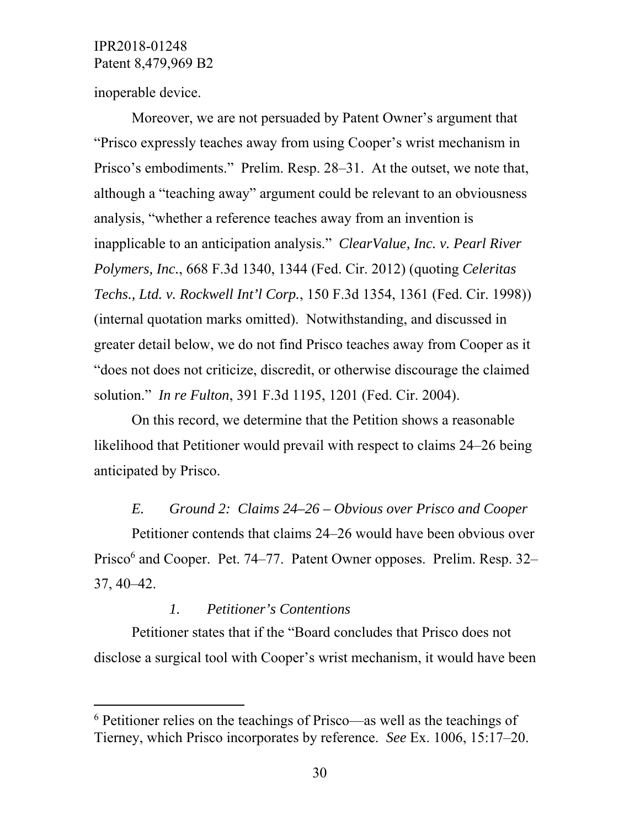inoperable device.

 $\overline{a}$ 

Moreover, we are not persuaded by Patent Owner's argument that "Prisco expressly teaches away from using Cooper's wrist mechanism in Prisco's embodiments." Prelim. Resp. 28–31. At the outset, we note that, although a "teaching away" argument could be relevant to an obviousness analysis, "whether a reference teaches away from an invention is inapplicable to an anticipation analysis." *ClearValue, Inc. v. Pearl River Polymers, Inc.*, 668 F.3d 1340, 1344 (Fed. Cir. 2012) (quoting *Celeritas Techs., Ltd. v. Rockwell Int'l Corp.*, 150 F.3d 1354, 1361 (Fed. Cir. 1998)) (internal quotation marks omitted). Notwithstanding, and discussed in greater detail below, we do not find Prisco teaches away from Cooper as it "does not does not criticize, discredit, or otherwise discourage the claimed solution." *In re Fulton*, 391 F.3d 1195, 1201 (Fed. Cir. 2004).

On this record, we determine that the Petition shows a reasonable likelihood that Petitioner would prevail with respect to claims 24–26 being anticipated by Prisco.

#### *E. Ground 2: Claims 24–26 – Obvious over Prisco and Cooper*

Petitioner contends that claims 24–26 would have been obvious over Prisco<sup>6</sup> and Cooper. Pet. 74–77. Patent Owner opposes. Prelim. Resp. 32– 37, 40–42.

#### *1. Petitioner's Contentions*

Petitioner states that if the "Board concludes that Prisco does not disclose a surgical tool with Cooper's wrist mechanism, it would have been

<sup>&</sup>lt;sup>6</sup> Petitioner relies on the teachings of Prisco—as well as the teachings of Tierney, which Prisco incorporates by reference. *See* Ex. 1006, 15:17–20.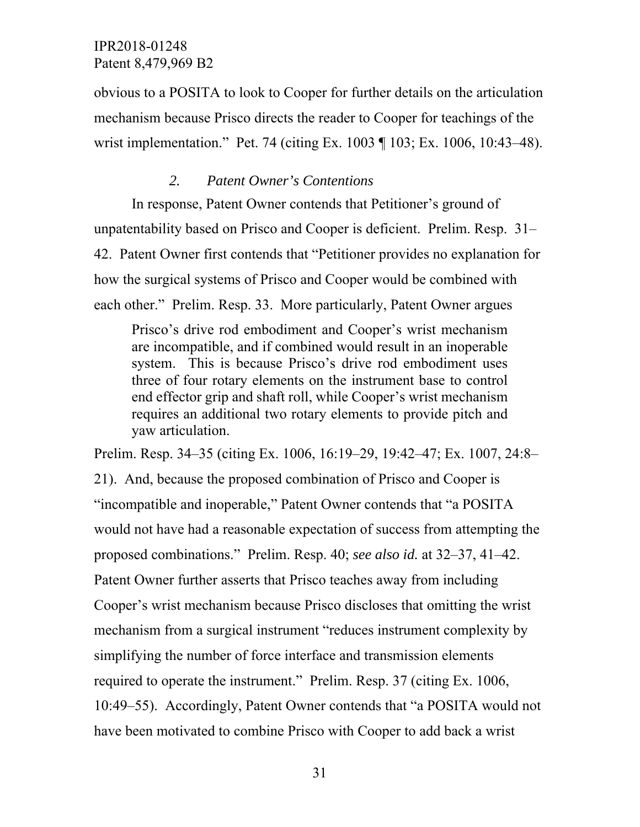obvious to a POSITA to look to Cooper for further details on the articulation mechanism because Prisco directs the reader to Cooper for teachings of the wrist implementation." Pet. 74 (citing Ex. 1003 ¶ 103; Ex. 1006, 10:43–48).

## *2. Patent Owner's Contentions*

In response, Patent Owner contends that Petitioner's ground of unpatentability based on Prisco and Cooper is deficient. Prelim. Resp. 31– 42. Patent Owner first contends that "Petitioner provides no explanation for how the surgical systems of Prisco and Cooper would be combined with each other." Prelim. Resp. 33. More particularly, Patent Owner argues

Prisco's drive rod embodiment and Cooper's wrist mechanism are incompatible, and if combined would result in an inoperable system. This is because Prisco's drive rod embodiment uses three of four rotary elements on the instrument base to control end effector grip and shaft roll, while Cooper's wrist mechanism requires an additional two rotary elements to provide pitch and yaw articulation.

Prelim. Resp. 34–35 (citing Ex. 1006, 16:19–29, 19:42–47; Ex. 1007, 24:8–

21). And, because the proposed combination of Prisco and Cooper is "incompatible and inoperable," Patent Owner contends that "a POSITA would not have had a reasonable expectation of success from attempting the proposed combinations." Prelim. Resp. 40; *see also id.* at 32–37, 41–42. Patent Owner further asserts that Prisco teaches away from including Cooper's wrist mechanism because Prisco discloses that omitting the wrist mechanism from a surgical instrument "reduces instrument complexity by simplifying the number of force interface and transmission elements required to operate the instrument." Prelim. Resp. 37 (citing Ex. 1006, 10:49–55). Accordingly, Patent Owner contends that "a POSITA would not have been motivated to combine Prisco with Cooper to add back a wrist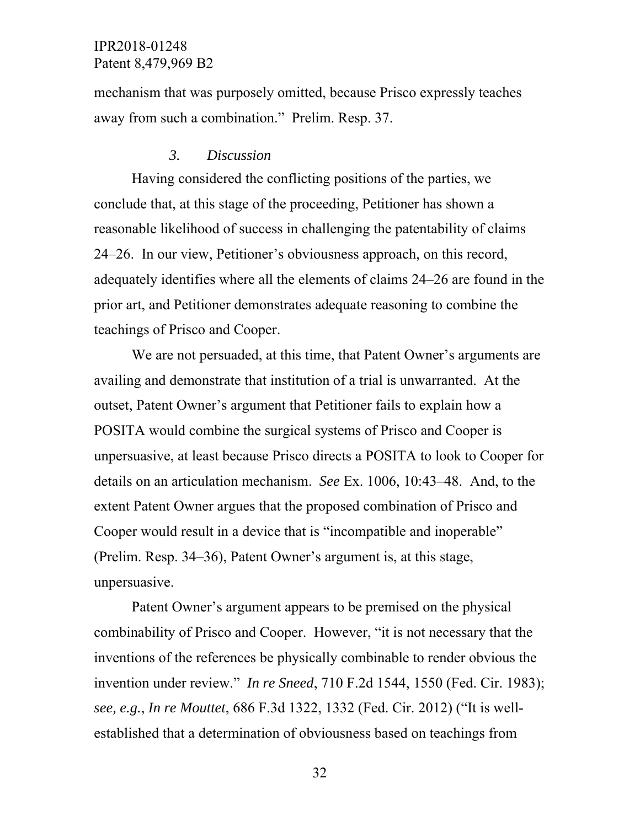mechanism that was purposely omitted, because Prisco expressly teaches away from such a combination." Prelim. Resp. 37.

#### *3. Discussion*

Having considered the conflicting positions of the parties, we conclude that, at this stage of the proceeding, Petitioner has shown a reasonable likelihood of success in challenging the patentability of claims 24–26. In our view, Petitioner's obviousness approach, on this record, adequately identifies where all the elements of claims 24–26 are found in the prior art, and Petitioner demonstrates adequate reasoning to combine the teachings of Prisco and Cooper.

We are not persuaded, at this time, that Patent Owner's arguments are availing and demonstrate that institution of a trial is unwarranted. At the outset, Patent Owner's argument that Petitioner fails to explain how a POSITA would combine the surgical systems of Prisco and Cooper is unpersuasive, at least because Prisco directs a POSITA to look to Cooper for details on an articulation mechanism. *See* Ex. 1006, 10:43–48. And, to the extent Patent Owner argues that the proposed combination of Prisco and Cooper would result in a device that is "incompatible and inoperable" (Prelim. Resp. 34–36), Patent Owner's argument is, at this stage, unpersuasive.

Patent Owner's argument appears to be premised on the physical combinability of Prisco and Cooper. However, "it is not necessary that the inventions of the references be physically combinable to render obvious the invention under review." *In re Sneed*, 710 F.2d 1544, 1550 (Fed. Cir. 1983); *see, e.g.*, *In re Mouttet*, 686 F.3d 1322, 1332 (Fed. Cir. 2012) ("It is wellestablished that a determination of obviousness based on teachings from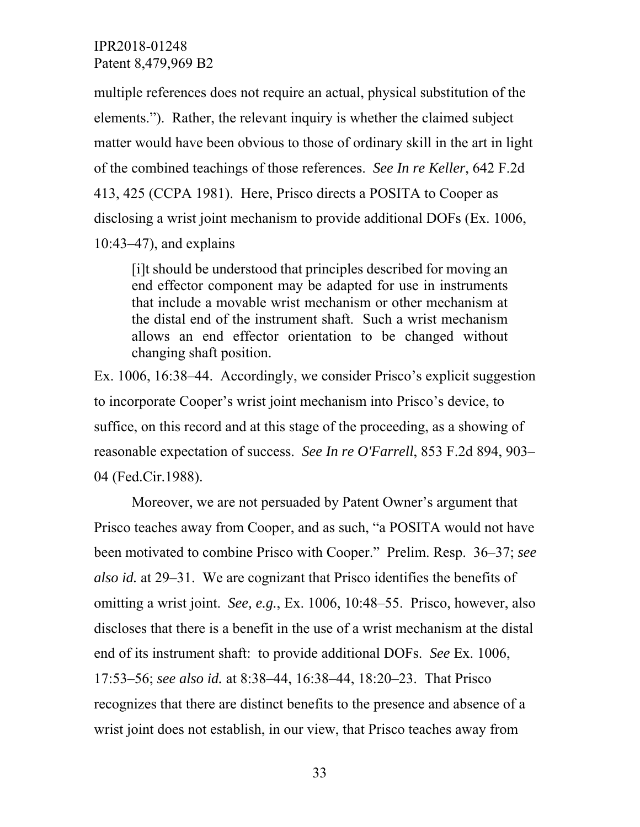multiple references does not require an actual, physical substitution of the elements."). Rather, the relevant inquiry is whether the claimed subject matter would have been obvious to those of ordinary skill in the art in light of the combined teachings of those references. *See In re Keller*, 642 F.2d 413, 425 (CCPA 1981). Here, Prisco directs a POSITA to Cooper as disclosing a wrist joint mechanism to provide additional DOFs (Ex. 1006, 10:43–47), and explains

[i]t should be understood that principles described for moving an end effector component may be adapted for use in instruments that include a movable wrist mechanism or other mechanism at the distal end of the instrument shaft. Such a wrist mechanism allows an end effector orientation to be changed without changing shaft position.

Ex. 1006, 16:38–44. Accordingly, we consider Prisco's explicit suggestion to incorporate Cooper's wrist joint mechanism into Prisco's device, to suffice, on this record and at this stage of the proceeding, as a showing of reasonable expectation of success. *See In re O'Farrell*, 853 F.2d 894, 903– 04 (Fed.Cir.1988).

Moreover, we are not persuaded by Patent Owner's argument that Prisco teaches away from Cooper, and as such, "a POSITA would not have been motivated to combine Prisco with Cooper." Prelim. Resp. 36–37; *see also id.* at 29–31. We are cognizant that Prisco identifies the benefits of omitting a wrist joint. *See, e.g.*, Ex. 1006, 10:48–55. Prisco, however, also discloses that there is a benefit in the use of a wrist mechanism at the distal end of its instrument shaft: to provide additional DOFs. *See* Ex. 1006, 17:53–56; *see also id.* at 8:38–44, 16:38–44, 18:20–23. That Prisco recognizes that there are distinct benefits to the presence and absence of a wrist joint does not establish, in our view, that Prisco teaches away from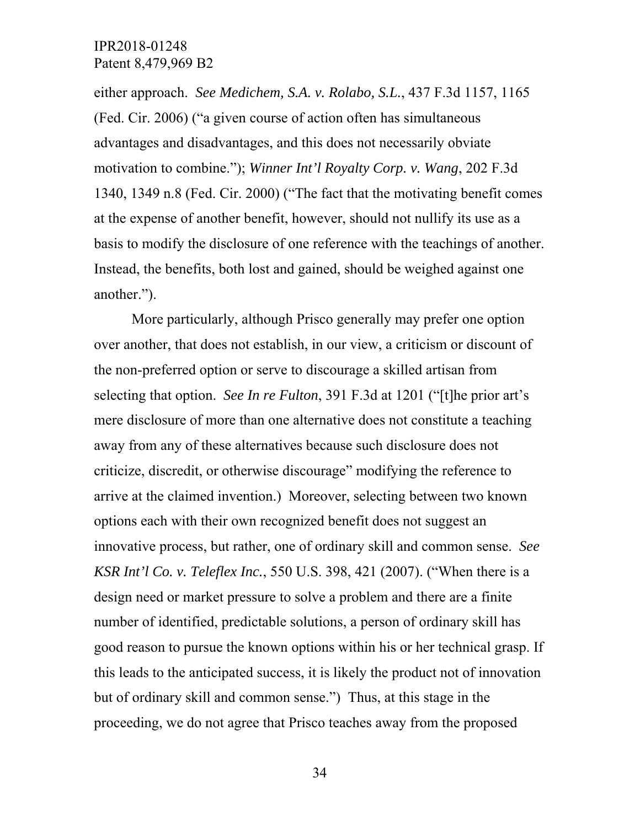either approach. *See Medichem, S.A. v. Rolabo, S.L.*, 437 F.3d 1157, 1165 (Fed. Cir. 2006) ("a given course of action often has simultaneous advantages and disadvantages, and this does not necessarily obviate motivation to combine."); *Winner Int'l Royalty Corp. v. Wang*, 202 F.3d 1340, 1349 n.8 (Fed. Cir. 2000) ("The fact that the motivating benefit comes at the expense of another benefit, however, should not nullify its use as a basis to modify the disclosure of one reference with the teachings of another. Instead, the benefits, both lost and gained, should be weighed against one another.").

More particularly, although Prisco generally may prefer one option over another, that does not establish, in our view, a criticism or discount of the non-preferred option or serve to discourage a skilled artisan from selecting that option. *See In re Fulton*, 391 F.3d at 1201 ("[t]he prior art's mere disclosure of more than one alternative does not constitute a teaching away from any of these alternatives because such disclosure does not criticize, discredit, or otherwise discourage" modifying the reference to arrive at the claimed invention.) Moreover, selecting between two known options each with their own recognized benefit does not suggest an innovative process, but rather, one of ordinary skill and common sense. *See KSR Int'l Co. v. Teleflex Inc.*, 550 U.S. 398, 421 (2007). ("When there is a design need or market pressure to solve a problem and there are a finite number of identified, predictable solutions, a person of ordinary skill has good reason to pursue the known options within his or her technical grasp. If this leads to the anticipated success, it is likely the product not of innovation but of ordinary skill and common sense.") Thus, at this stage in the proceeding, we do not agree that Prisco teaches away from the proposed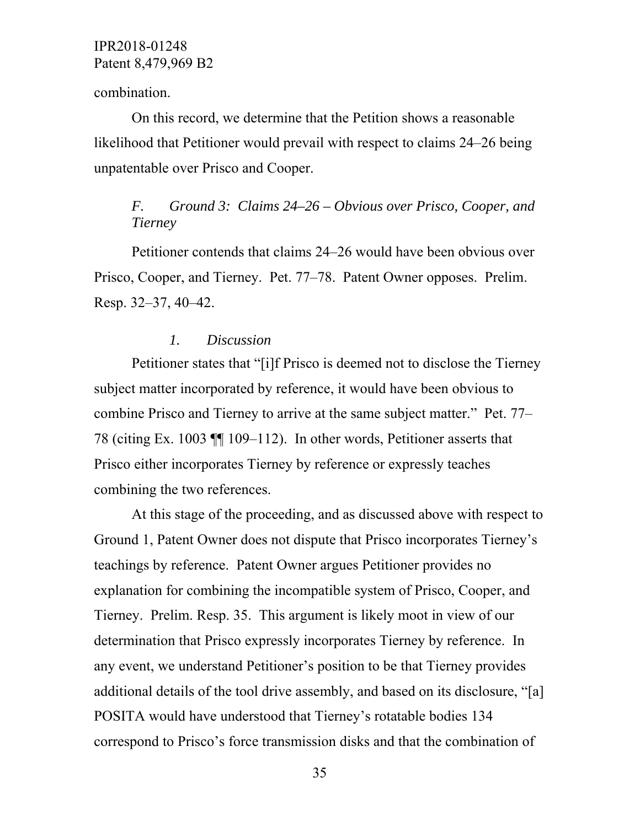combination.

On this record, we determine that the Petition shows a reasonable likelihood that Petitioner would prevail with respect to claims 24–26 being unpatentable over Prisco and Cooper.

# *F. Ground 3: Claims 24–26 – Obvious over Prisco, Cooper, and Tierney*

Petitioner contends that claims 24–26 would have been obvious over Prisco, Cooper, and Tierney. Pet. 77–78. Patent Owner opposes. Prelim. Resp. 32–37, 40–42.

### *1. Discussion*

Petitioner states that "[i]f Prisco is deemed not to disclose the Tierney subject matter incorporated by reference, it would have been obvious to combine Prisco and Tierney to arrive at the same subject matter." Pet. 77– 78 (citing Ex. 1003 ¶¶ 109–112). In other words, Petitioner asserts that Prisco either incorporates Tierney by reference or expressly teaches combining the two references.

At this stage of the proceeding, and as discussed above with respect to Ground 1, Patent Owner does not dispute that Prisco incorporates Tierney's teachings by reference. Patent Owner argues Petitioner provides no explanation for combining the incompatible system of Prisco, Cooper, and Tierney. Prelim. Resp. 35. This argument is likely moot in view of our determination that Prisco expressly incorporates Tierney by reference. In any event, we understand Petitioner's position to be that Tierney provides additional details of the tool drive assembly, and based on its disclosure, "[a] POSITA would have understood that Tierney's rotatable bodies 134 correspond to Prisco's force transmission disks and that the combination of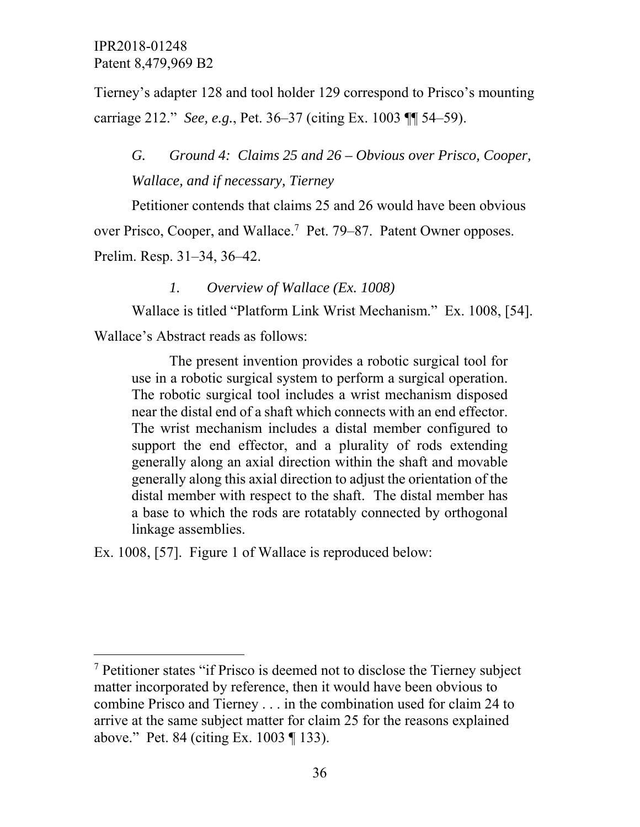$\overline{a}$ 

Tierney's adapter 128 and tool holder 129 correspond to Prisco's mounting carriage 212." *See, e.g.*, Pet. 36–37 (citing Ex. 1003 ¶¶ 54–59).

*G. Ground 4: Claims 25 and 26 – Obvious over Prisco, Cooper, Wallace, and if necessary, Tierney* 

Petitioner contends that claims 25 and 26 would have been obvious over Prisco, Cooper, and Wallace.<sup>7</sup> Pet. 79–87. Patent Owner opposes. Prelim. Resp. 31–34, 36–42.

*1. Overview of Wallace (Ex. 1008)* 

Wallace is titled "Platform Link Wrist Mechanism." Ex. 1008, [54]. Wallace's Abstract reads as follows:

The present invention provides a robotic surgical tool for use in a robotic surgical system to perform a surgical operation. The robotic surgical tool includes a wrist mechanism disposed near the distal end of a shaft which connects with an end effector. The wrist mechanism includes a distal member configured to support the end effector, and a plurality of rods extending generally along an axial direction within the shaft and movable generally along this axial direction to adjust the orientation of the distal member with respect to the shaft. The distal member has a base to which the rods are rotatably connected by orthogonal linkage assemblies.

Ex. 1008, [57]. Figure 1 of Wallace is reproduced below:

<sup>&</sup>lt;sup>7</sup> Petitioner states "if Prisco is deemed not to disclose the Tierney subject matter incorporated by reference, then it would have been obvious to combine Prisco and Tierney . . . in the combination used for claim 24 to arrive at the same subject matter for claim 25 for the reasons explained above." Pet. 84 (citing Ex. 1003 ¶ 133).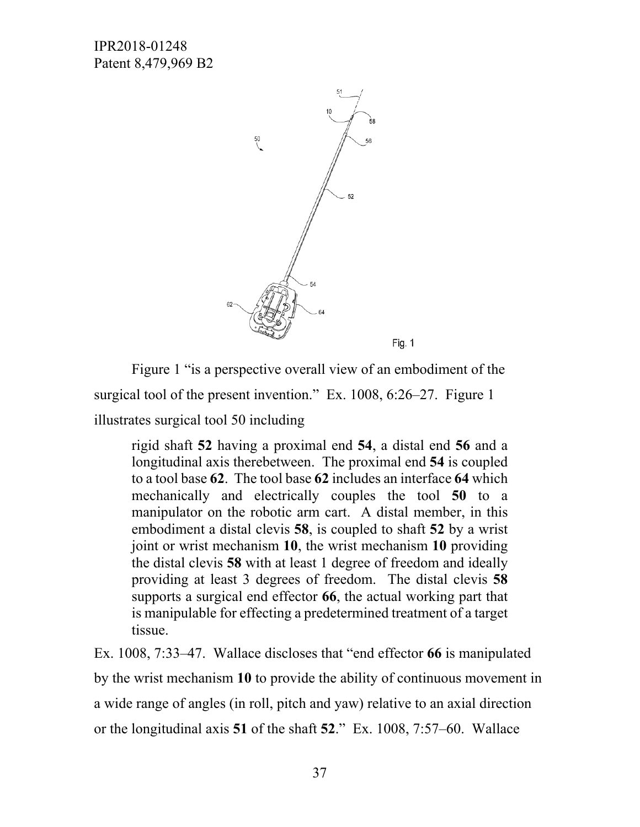

Figure 1 "is a perspective overall view of an embodiment of the surgical tool of the present invention." Ex. 1008, 6:26–27. Figure 1 illustrates surgical tool 50 including

rigid shaft **52** having a proximal end **54**, a distal end **56** and a longitudinal axis therebetween. The proximal end **54** is coupled to a tool base **62**. The tool base **62** includes an interface **64** which mechanically and electrically couples the tool **50** to a manipulator on the robotic arm cart. A distal member, in this embodiment a distal clevis **58**, is coupled to shaft **52** by a wrist joint or wrist mechanism **10**, the wrist mechanism **10** providing the distal clevis **58** with at least 1 degree of freedom and ideally providing at least 3 degrees of freedom. The distal clevis **58** supports a surgical end effector **66**, the actual working part that is manipulable for effecting a predetermined treatment of a target tissue.

Ex. 1008, 7:33–47. Wallace discloses that "end effector **66** is manipulated by the wrist mechanism **10** to provide the ability of continuous movement in a wide range of angles (in roll, pitch and yaw) relative to an axial direction or the longitudinal axis **51** of the shaft **52**." Ex. 1008, 7:57–60. Wallace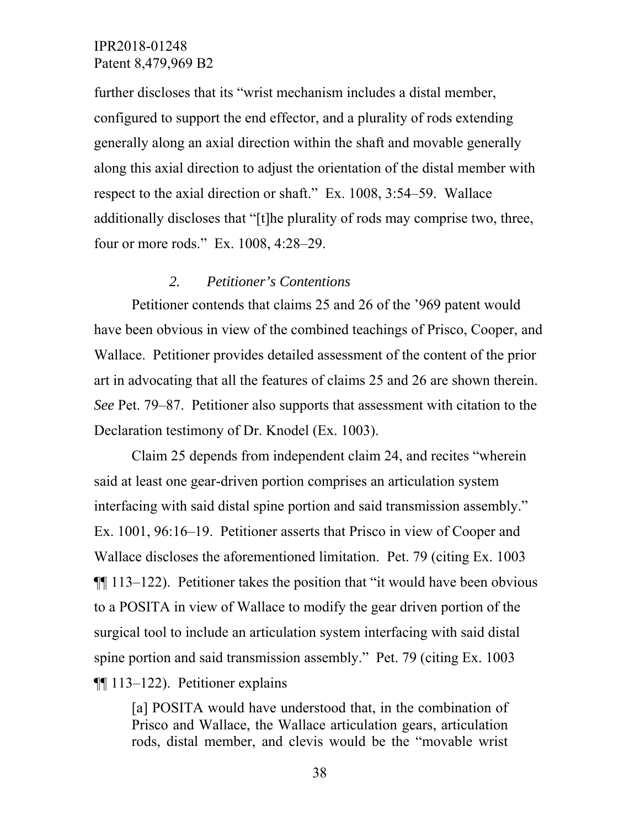further discloses that its "wrist mechanism includes a distal member, configured to support the end effector, and a plurality of rods extending generally along an axial direction within the shaft and movable generally along this axial direction to adjust the orientation of the distal member with respect to the axial direction or shaft." Ex. 1008, 3:54–59. Wallace additionally discloses that "[t]he plurality of rods may comprise two, three, four or more rods." Ex. 1008, 4:28–29.

#### *2. Petitioner's Contentions*

Petitioner contends that claims 25 and 26 of the '969 patent would have been obvious in view of the combined teachings of Prisco, Cooper, and Wallace. Petitioner provides detailed assessment of the content of the prior art in advocating that all the features of claims 25 and 26 are shown therein. *See* Pet. 79–87. Petitioner also supports that assessment with citation to the Declaration testimony of Dr. Knodel (Ex. 1003).

Claim 25 depends from independent claim 24, and recites "wherein said at least one gear-driven portion comprises an articulation system interfacing with said distal spine portion and said transmission assembly." Ex. 1001, 96:16–19. Petitioner asserts that Prisco in view of Cooper and Wallace discloses the aforementioned limitation. Pet. 79 (citing Ex. 1003 ¶¶ 113–122). Petitioner takes the position that "it would have been obvious to a POSITA in view of Wallace to modify the gear driven portion of the surgical tool to include an articulation system interfacing with said distal spine portion and said transmission assembly." Pet. 79 (citing Ex. 1003 ¶¶ 113–122). Petitioner explains

[a] POSITA would have understood that, in the combination of Prisco and Wallace, the Wallace articulation gears, articulation rods, distal member, and clevis would be the "movable wrist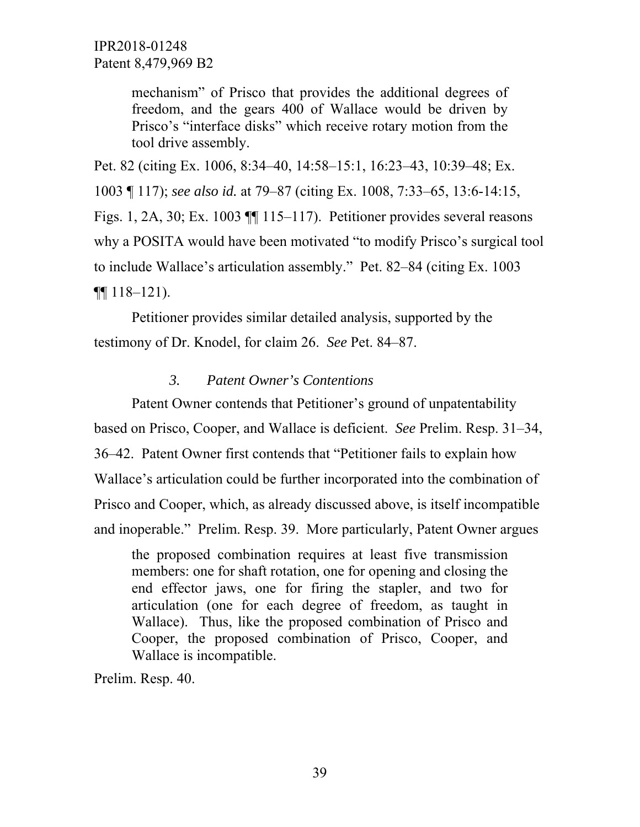mechanism" of Prisco that provides the additional degrees of freedom, and the gears 400 of Wallace would be driven by Prisco's "interface disks" which receive rotary motion from the tool drive assembly.

Pet. 82 (citing Ex. 1006, 8:34–40, 14:58–15:1, 16:23–43, 10:39–48; Ex. 1003 ¶ 117); *see also id.* at 79–87 (citing Ex. 1008, 7:33–65, 13:6-14:15, Figs. 1, 2A, 30; Ex. 1003 ¶¶ 115–117). Petitioner provides several reasons why a POSITA would have been motivated "to modify Prisco's surgical tool to include Wallace's articulation assembly." Pet. 82–84 (citing Ex. 1003  $\P\P$  118–121).

Petitioner provides similar detailed analysis, supported by the testimony of Dr. Knodel, for claim 26. *See* Pet. 84–87.

#### *3. Patent Owner's Contentions*

Patent Owner contends that Petitioner's ground of unpatentability based on Prisco, Cooper, and Wallace is deficient. *See* Prelim. Resp. 31–34, 36–42. Patent Owner first contends that "Petitioner fails to explain how Wallace's articulation could be further incorporated into the combination of Prisco and Cooper, which, as already discussed above, is itself incompatible and inoperable." Prelim. Resp. 39. More particularly, Patent Owner argues

the proposed combination requires at least five transmission members: one for shaft rotation, one for opening and closing the end effector jaws, one for firing the stapler, and two for articulation (one for each degree of freedom, as taught in Wallace). Thus, like the proposed combination of Prisco and Cooper, the proposed combination of Prisco, Cooper, and Wallace is incompatible.

Prelim. Resp. 40.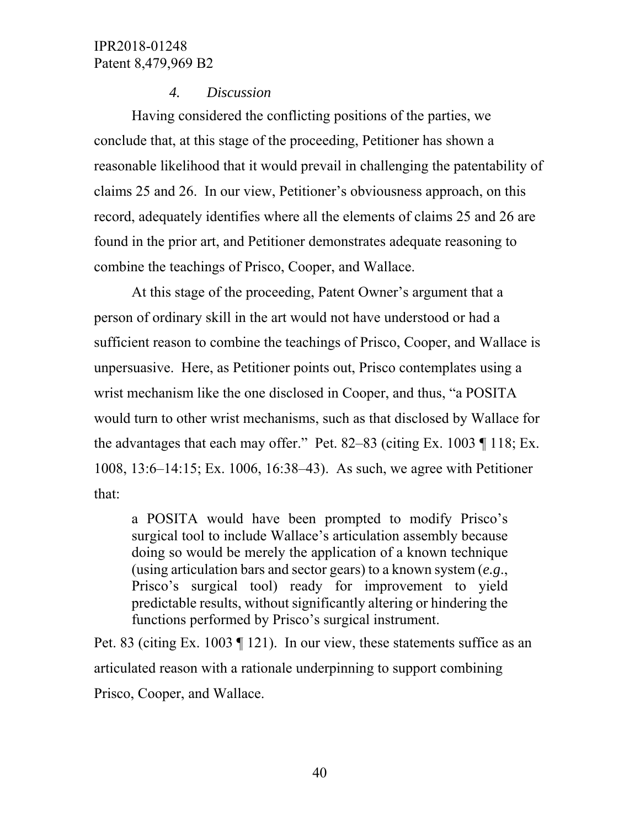#### *4. Discussion*

Having considered the conflicting positions of the parties, we conclude that, at this stage of the proceeding, Petitioner has shown a reasonable likelihood that it would prevail in challenging the patentability of claims 25 and 26. In our view, Petitioner's obviousness approach, on this record, adequately identifies where all the elements of claims 25 and 26 are found in the prior art, and Petitioner demonstrates adequate reasoning to combine the teachings of Prisco, Cooper, and Wallace.

At this stage of the proceeding, Patent Owner's argument that a person of ordinary skill in the art would not have understood or had a sufficient reason to combine the teachings of Prisco, Cooper, and Wallace is unpersuasive. Here, as Petitioner points out, Prisco contemplates using a wrist mechanism like the one disclosed in Cooper, and thus, "a POSITA would turn to other wrist mechanisms, such as that disclosed by Wallace for the advantages that each may offer." Pet. 82–83 (citing Ex. 1003  $\P$  118; Ex. 1008, 13:6–14:15; Ex. 1006, 16:38–43). As such, we agree with Petitioner that:

a POSITA would have been prompted to modify Prisco's surgical tool to include Wallace's articulation assembly because doing so would be merely the application of a known technique (using articulation bars and sector gears) to a known system (*e.g*., Prisco's surgical tool) ready for improvement to yield predictable results, without significantly altering or hindering the functions performed by Prisco's surgical instrument.

Pet. 83 (citing Ex. 1003 ¶ 121). In our view, these statements suffice as an articulated reason with a rationale underpinning to support combining Prisco, Cooper, and Wallace.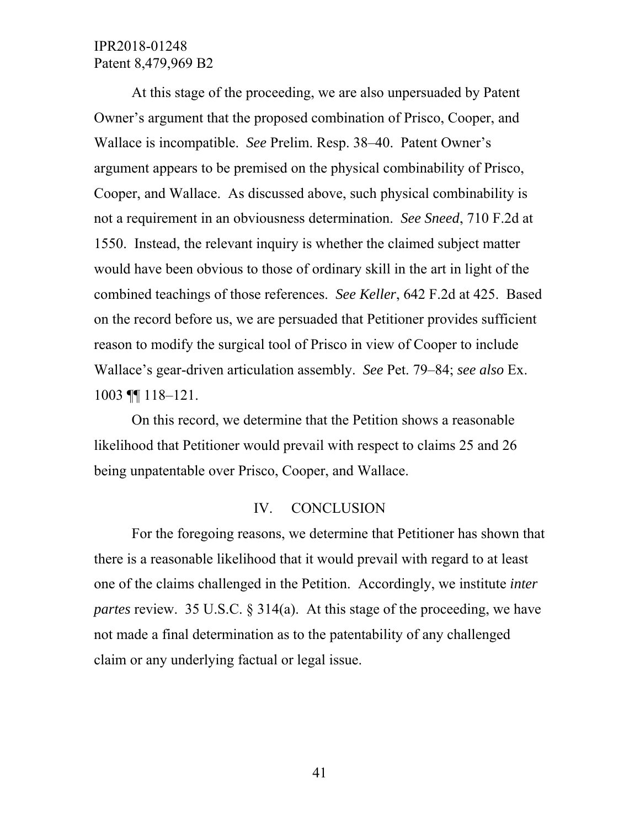At this stage of the proceeding, we are also unpersuaded by Patent Owner's argument that the proposed combination of Prisco, Cooper, and Wallace is incompatible. *See* Prelim. Resp. 38–40. Patent Owner's argument appears to be premised on the physical combinability of Prisco, Cooper, and Wallace. As discussed above, such physical combinability is not a requirement in an obviousness determination. *See Sneed*, 710 F.2d at 1550. Instead, the relevant inquiry is whether the claimed subject matter would have been obvious to those of ordinary skill in the art in light of the combined teachings of those references. *See Keller*, 642 F.2d at 425. Based on the record before us, we are persuaded that Petitioner provides sufficient reason to modify the surgical tool of Prisco in view of Cooper to include Wallace's gear-driven articulation assembly. *See* Pet. 79–84; *see also* Ex. 1003 ¶¶ 118–121.

On this record, we determine that the Petition shows a reasonable likelihood that Petitioner would prevail with respect to claims 25 and 26 being unpatentable over Prisco, Cooper, and Wallace.

#### IV. CONCLUSION

For the foregoing reasons, we determine that Petitioner has shown that there is a reasonable likelihood that it would prevail with regard to at least one of the claims challenged in the Petition. Accordingly, we institute *inter partes* review. 35 U.S.C. § 314(a). At this stage of the proceeding, we have not made a final determination as to the patentability of any challenged claim or any underlying factual or legal issue.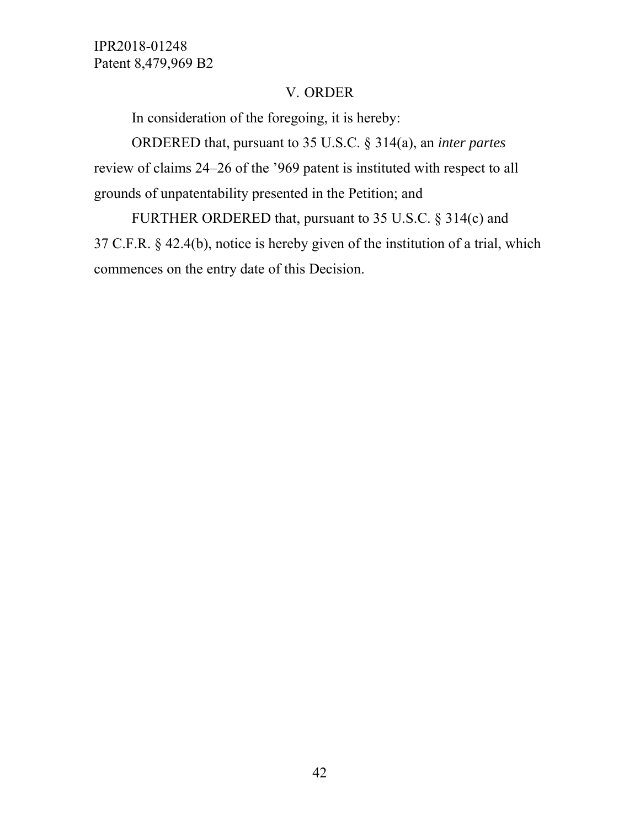### V. ORDER

In consideration of the foregoing, it is hereby:

ORDERED that, pursuant to 35 U.S.C. § 314(a), an *inter partes* review of claims 24–26 of the '969 patent is instituted with respect to all grounds of unpatentability presented in the Petition; and

FURTHER ORDERED that, pursuant to 35 U.S.C. § 314(c) and 37 C.F.R. § 42.4(b), notice is hereby given of the institution of a trial, which commences on the entry date of this Decision.